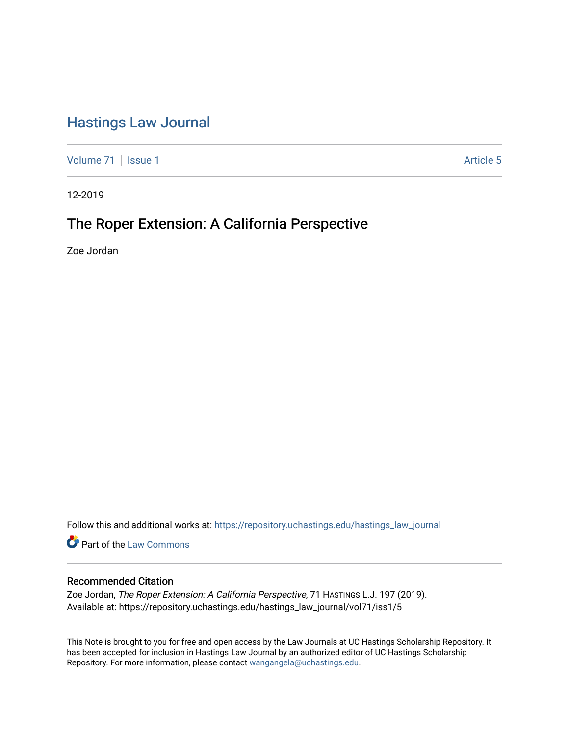# [Hastings Law Journal](https://repository.uchastings.edu/hastings_law_journal)

[Volume 71](https://repository.uchastings.edu/hastings_law_journal/vol71) | [Issue 1](https://repository.uchastings.edu/hastings_law_journal/vol71/iss1) Article 5

12-2019

# The Roper Extension: A California Perspective

Zoe Jordan

Follow this and additional works at: [https://repository.uchastings.edu/hastings\\_law\\_journal](https://repository.uchastings.edu/hastings_law_journal?utm_source=repository.uchastings.edu%2Fhastings_law_journal%2Fvol71%2Fiss1%2F5&utm_medium=PDF&utm_campaign=PDFCoverPages) 

**Part of the [Law Commons](http://network.bepress.com/hgg/discipline/578?utm_source=repository.uchastings.edu%2Fhastings_law_journal%2Fvol71%2Fiss1%2F5&utm_medium=PDF&utm_campaign=PDFCoverPages)** 

## Recommended Citation

Zoe Jordan, The Roper Extension: A California Perspective, 71 HASTINGS L.J. 197 (2019). Available at: https://repository.uchastings.edu/hastings\_law\_journal/vol71/iss1/5

This Note is brought to you for free and open access by the Law Journals at UC Hastings Scholarship Repository. It has been accepted for inclusion in Hastings Law Journal by an authorized editor of UC Hastings Scholarship Repository. For more information, please contact [wangangela@uchastings.edu](mailto:wangangela@uchastings.edu).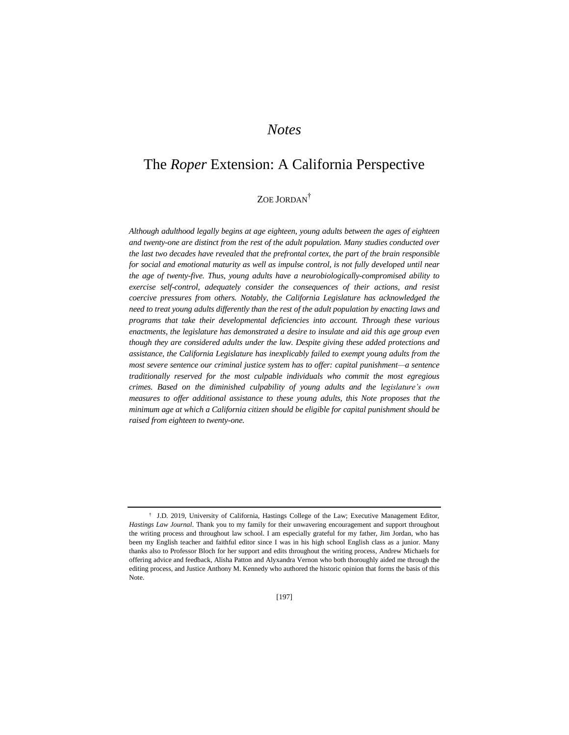# *Notes*

# The *Roper* Extension: A California Perspective

# ZOE JORDAN†

*Although adulthood legally begins at age eighteen, young adults between the ages of eighteen and twenty-one are distinct from the rest of the adult population. Many studies conducted over the last two decades have revealed that the prefrontal cortex, the part of the brain responsible for social and emotional maturity as well as impulse control, is not fully developed until near the age of twenty-five. Thus, young adults have a neurobiologically-compromised ability to exercise self-control, adequately consider the consequences of their actions, and resist coercive pressures from others. Notably, the California Legislature has acknowledged the need to treat young adults differently than the rest of the adult population by enacting laws and programs that take their developmental deficiencies into account. Through these various enactments, the legislature has demonstrated a desire to insulate and aid this age group even though they are considered adults under the law. Despite giving these added protections and assistance, the California Legislature has inexplicably failed to exempt young adults from the most severe sentence our criminal justice system has to offer: capital punishment—a sentence traditionally reserved for the most culpable individuals who commit the most egregious crimes. Based on the diminished culpability of young adults and the legislature's own measures to offer additional assistance to these young adults, this Note proposes that the minimum age at which a California citizen should be eligible for capital punishment should be raised from eighteen to twenty-one.*

<sup>†</sup> J.D. 2019, University of California, Hastings College of the Law; Executive Management Editor, *Hastings Law Journal*. Thank you to my family for their unwavering encouragement and support throughout the writing process and throughout law school. I am especially grateful for my father, Jim Jordan, who has been my English teacher and faithful editor since I was in his high school English class as a junior. Many thanks also to Professor Bloch for her support and edits throughout the writing process, Andrew Michaels for offering advice and feedback, Alisha Patton and Alyxandra Vernon who both thoroughly aided me through the editing process, and Justice Anthony M. Kennedy who authored the historic opinion that forms the basis of this Note.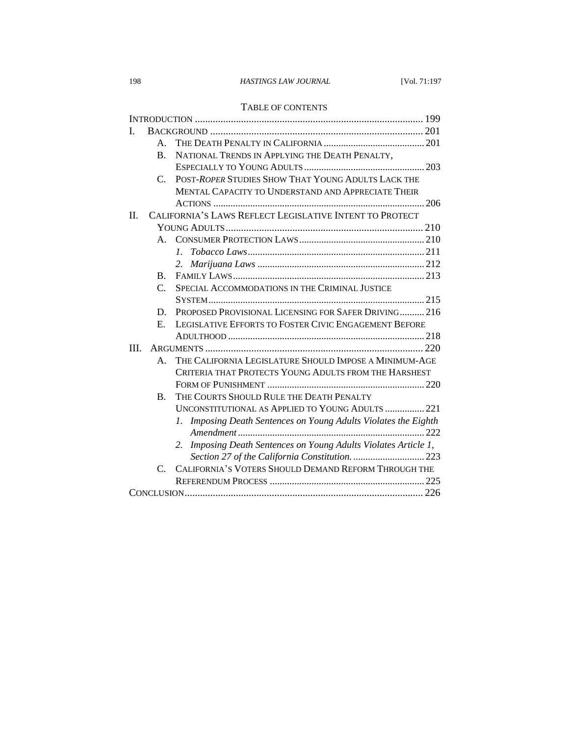### 198 *HASTINGS LAW JOURNAL* [Vol. 71:197

### TABLE OF CONTENTS

| Ι.      |                                                                          |                                                                    |  |
|---------|--------------------------------------------------------------------------|--------------------------------------------------------------------|--|
|         | $A_{-}$                                                                  |                                                                    |  |
|         | <b>B.</b>                                                                | NATIONAL TRENDS IN APPLYING THE DEATH PENALTY,                     |  |
|         |                                                                          |                                                                    |  |
|         | $\mathcal{C}$ .                                                          | POST-ROPER STUDIES SHOW THAT YOUNG ADULTS LACK THE                 |  |
|         |                                                                          | MENTAL CAPACITY TO UNDERSTAND AND APPRECIATE THEIR                 |  |
|         |                                                                          |                                                                    |  |
| $\Pi$ . |                                                                          | CALIFORNIA'S LAWS REFLECT LEGISLATIVE INTENT TO PROTECT            |  |
|         |                                                                          |                                                                    |  |
|         | $A_{\cdot}$                                                              |                                                                    |  |
|         |                                                                          |                                                                    |  |
|         |                                                                          | 2.                                                                 |  |
|         | $\bf{B}$ .                                                               |                                                                    |  |
|         | $\mathcal{C}$ .                                                          | SPECIAL ACCOMMODATIONS IN THE CRIMINAL JUSTICE                     |  |
|         |                                                                          |                                                                    |  |
|         | D.                                                                       | PROPOSED PROVISIONAL LICENSING FOR SAFER DRIVING 216               |  |
|         | E.                                                                       | LEGISLATIVE EFFORTS TO FOSTER CIVIC ENGAGEMENT BEFORE              |  |
|         |                                                                          |                                                                    |  |
| III.    |                                                                          |                                                                    |  |
|         | THE CALIFORNIA LEGISLATURE SHOULD IMPOSE A MINIMUM-AGE<br>$\mathsf{A}$ . |                                                                    |  |
|         | CRITERIA THAT PROTECTS YOUNG ADULTS FROM THE HARSHEST                    |                                                                    |  |
|         |                                                                          |                                                                    |  |
|         | $\mathbf{B}$ .                                                           | THE COURTS SHOULD RULE THE DEATH PENALTY                           |  |
|         |                                                                          | UNCONSTITUTIONAL AS APPLIED TO YOUNG ADULTS  221                   |  |
|         |                                                                          | Imposing Death Sentences on Young Adults Violates the Eighth<br>1. |  |
|         |                                                                          |                                                                    |  |
|         |                                                                          | Imposing Death Sentences on Young Adults Violates Article 1,<br>2. |  |
|         |                                                                          | Section 27 of the California Constitution.  223                    |  |
|         | $\mathcal{C}$ .                                                          | CALIFORNIA'S VOTERS SHOULD DEMAND REFORM THROUGH THE               |  |
|         |                                                                          |                                                                    |  |
|         |                                                                          |                                                                    |  |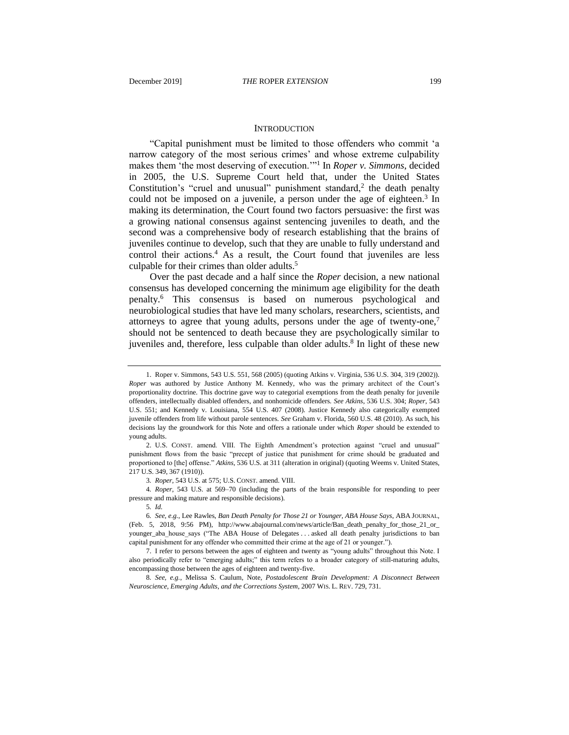#### **INTRODUCTION**

"Capital punishment must be limited to those offenders who commit 'a narrow category of the most serious crimes' and whose extreme culpability makes them 'the most deserving of execution.'"<sup>1</sup> In *Roper v. Simmons*, decided in 2005, the U.S. Supreme Court held that, under the United States Constitution's "cruel and unusual" punishment standard, $2$  the death penalty could not be imposed on a juvenile, a person under the age of eighteen.<sup>3</sup> In making its determination, the Court found two factors persuasive: the first was a growing national consensus against sentencing juveniles to death, and the second was a comprehensive body of research establishing that the brains of juveniles continue to develop, such that they are unable to fully understand and control their actions.<sup>4</sup> As a result, the Court found that juveniles are less culpable for their crimes than older adults.<sup>5</sup>

Over the past decade and a half since the *Roper* decision, a new national consensus has developed concerning the minimum age eligibility for the death penalty.<sup>6</sup> This consensus is based on numerous psychological and neurobiological studies that have led many scholars, researchers, scientists, and attorneys to agree that young adults, persons under the age of twenty-one,<sup>7</sup> should not be sentenced to death because they are psychologically similar to juveniles and, therefore, less culpable than older adults.<sup>8</sup> In light of these new

3*. Roper*, 543 U.S. at 575; U.S. CONST. amend. VIII.

<span id="page-3-0"></span><sup>1.</sup> Roper v. Simmons, 543 U.S. 551, 568 (2005) (quoting Atkins v. Virginia, 536 U.S. 304, 319 (2002)). *Roper* was authored by Justice Anthony M. Kennedy, who was the primary architect of the Court's proportionality doctrine. This doctrine gave way to categorial exemptions from the death penalty for juvenile offenders, intellectually disabled offenders, and nonhomicide offenders. *See Atkins*, 536 U.S. 304; *Roper*, 543 U.S. 551; and Kennedy v. Louisiana, 554 U.S. 407 (2008). Justice Kennedy also categorically exempted juvenile offenders from life without parole sentences. *See* Graham v. Florida, 560 U.S. 48 (2010). As such, his decisions lay the groundwork for this Note and offers a rationale under which *Roper* should be extended to young adults.

<sup>2.</sup> U.S. CONST. amend. VIII. The Eighth Amendment's protection against "cruel and unusual" punishment flows from the basic "precept of justice that punishment for crime should be graduated and proportioned to [the] offense." *Atkins*, 536 U.S. at 311 (alteration in original) (quoting Weems v. United States, 217 U.S. 349, 367 (1910)).

<sup>4</sup>*. Roper*, 543 U.S. at 569–70 (including the parts of the brain responsible for responding to peer pressure and making mature and responsible decisions).

<sup>5</sup>*. Id.*

<sup>6</sup>*. See, e.g.*, Lee Rawles, *Ban Death Penalty for Those 21 or Younger, ABA House Says*, ABA JOURNAL, (Feb. 5, 2018, 9:56 PM), http://www.abajournal.com/news/article/Ban\_death\_penalty\_for\_those\_21\_or\_ younger\_aba\_house\_says ("The ABA House of Delegates . . . asked all death penalty jurisdictions to ban capital punishment for any offender who committed their crime at the age of 21 or younger.").

<sup>7.</sup> I refer to persons between the ages of eighteen and twenty as "young adults" throughout this Note. I also periodically refer to "emerging adults;" this term refers to a broader category of still-maturing adults, encompassing those between the ages of eighteen and twenty-five.

<sup>8</sup>*. See, e.g.*, Melissa S. Caulum, Note, *Postadolescent Brain Development: A Disconnect Between Neuroscience, Emerging Adults, and the Corrections System*, 2007 WIS. L. REV. 729, 731.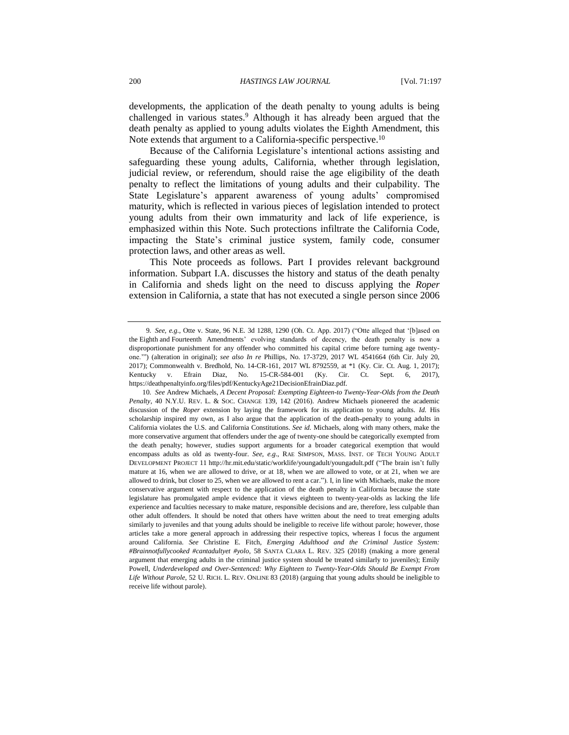developments, the application of the death penalty to young adults is being challenged in various states.<sup>9</sup> Although it has already been argued that the death penalty as applied to young adults violates the Eighth Amendment, this Note extends that argument to a California-specific perspective.<sup>10</sup>

<span id="page-4-0"></span>Because of the California Legislature's intentional actions assisting and safeguarding these young adults, California, whether through legislation, judicial review, or referendum, should raise the age eligibility of the death penalty to reflect the limitations of young adults and their culpability. The State Legislature's apparent awareness of young adults' compromised maturity, which is reflected in various pieces of legislation intended to protect young adults from their own immaturity and lack of life experience, is emphasized within this Note. Such protections infiltrate the California Code, impacting the State's criminal justice system, family code, consumer protection laws, and other areas as well.

This Note proceeds as follows. Part I provides relevant background information. Subpart I.A. discusses the history and status of the death penalty in California and sheds light on the need to discuss applying the *Roper* extension in California, a state that has not executed a single person since 2006

<sup>9</sup>*. See, e.g*., Otte v. State, 96 N.E. 3d 1288, 1290 (Oh. Ct. App. 2017) ("Otte alleged that '[b]ased on the Eighth and Fourteenth Amendments' evolving standards of decency, the death penalty is now a disproportionate punishment for any offender who committed his capital crime before turning age twentyone.'") (alteration in original); *see also In re* Phillips, No. 17-3729, 2017 WL 4541664 (6th Cir. July 20, 2017); Commonwealth v. Bredhold, No. 14-CR-161, 2017 WL 8792559, at \*1 (Ky. Cir. Ct. Aug. 1, 2017); Kentucky v. Efrain Diaz, No. 15-CR-584-001 (Ky. Cir. Ct. Sept. 6, 2017), https://deathpenaltyinfo.org/files/pdf/KentuckyAge21DecisionEfrainDiaz.pdf.

<sup>10</sup>*. See* Andrew Michaels, *A Decent Proposal: Exempting Eighteen-to Twenty-Year-Olds from the Death Penalty*, 40 N.Y.U. REV. L. & SOC. CHANGE 139, 142 (2016). Andrew Michaels pioneered the academic discussion of the *Roper* extension by laying the framework for its application to young adults. *Id.* His scholarship inspired my own, as I also argue that the application of the death-penalty to young adults in California violates the U.S. and California Constitutions. *See id.* Michaels, along with many others, make the more conservative argument that offenders under the age of twenty-one should be categorically exempted from the death penalty; however, studies support arguments for a broader categorical exemption that would encompass adults as old as twenty-four. *See, e.g*., RAE SIMPSON, MASS. INST. OF TECH YOUNG ADULT DEVELOPMENT PROJECT 11 http://hr.mit.edu/static/worklife/youngadult/youngadult.pdf ("The brain isn't fully mature at 16, when we are allowed to drive, or at 18, when we are allowed to vote, or at 21, when we are allowed to drink, but closer to 25, when we are allowed to rent a car."). I, in line with Michaels, make the more conservative argument with respect to the application of the death penalty in California because the state legislature has promulgated ample evidence that it views eighteen to twenty-year-olds as lacking the life experience and faculties necessary to make mature, responsible decisions and are, therefore, less culpable than other adult offenders. It should be noted that others have written about the need to treat emerging adults similarly to juveniles and that young adults should be ineligible to receive life without parole; however, those articles take a more general approach in addressing their respective topics, whereas I focus the argument around California. *See* Christine E. Fitch, *Emerging Adulthood and the Criminal Justice System: #Brainnotfullycooked #cantadultyet #yolo*, 58 SANTA CLARA L. REV. 325 (2018) (making a more general argument that emerging adults in the criminal justice system should be treated similarly to juveniles); Emily Powell, *Underdeveloped and Over-Sentenced: Why Eighteen to Twenty-Year-Olds Should Be Exempt From Life Without Parole*, 52 U. RICH. L. REV. ONLINE 83 (2018) (arguing that young adults should be ineligible to receive life without parole).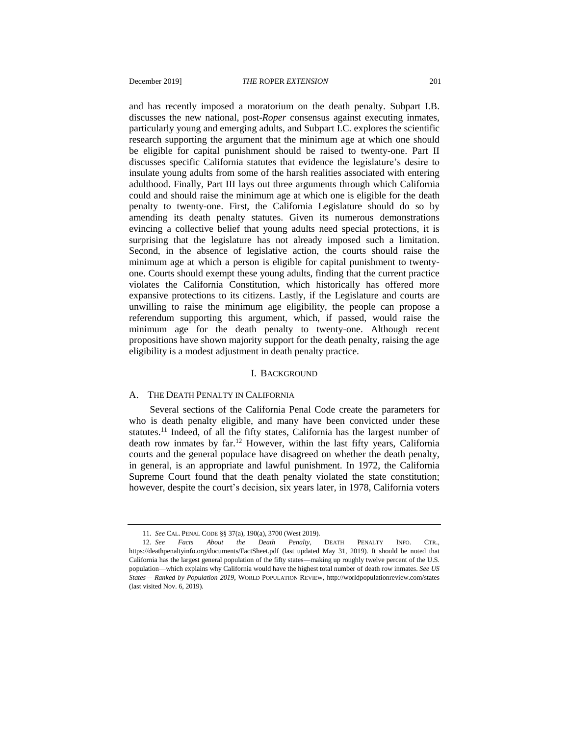and has recently imposed a moratorium on the death penalty. Subpart I.B. discusses the new national, post-*Roper* consensus against executing inmates, particularly young and emerging adults, and Subpart I.C. explores the scientific research supporting the argument that the minimum age at which one should be eligible for capital punishment should be raised to twenty-one. Part II discusses specific California statutes that evidence the legislature's desire to insulate young adults from some of the harsh realities associated with entering adulthood. Finally, Part III lays out three arguments through which California could and should raise the minimum age at which one is eligible for the death penalty to twenty-one. First, the California Legislature should do so by amending its death penalty statutes. Given its numerous demonstrations evincing a collective belief that young adults need special protections, it is surprising that the legislature has not already imposed such a limitation. Second, in the absence of legislative action, the courts should raise the minimum age at which a person is eligible for capital punishment to twentyone. Courts should exempt these young adults, finding that the current practice violates the California Constitution, which historically has offered more expansive protections to its citizens. Lastly, if the Legislature and courts are unwilling to raise the minimum age eligibility, the people can propose a referendum supporting this argument, which, if passed, would raise the minimum age for the death penalty to twenty-one. Although recent propositions have shown majority support for the death penalty, raising the age eligibility is a modest adjustment in death penalty practice.

#### <span id="page-5-0"></span>I. BACKGROUND

#### A. THE DEATH PENALTY IN CALIFORNIA

Several sections of the California Penal Code create the parameters for who is death penalty eligible, and many have been convicted under these statutes.<sup>11</sup> Indeed, of all the fifty states, California has the largest number of death row inmates by far.<sup>12</sup> However, within the last fifty years, California courts and the general populace have disagreed on whether the death penalty, in general, is an appropriate and lawful punishment. In 1972, the California Supreme Court found that the death penalty violated the state constitution; however, despite the court's decision, six years later, in 1978, California voters

<sup>11</sup>*. See* CAL. PENAL CODE §§ 37(a), 190(a), 3700 (West 2019)*.*

<sup>12</sup>*. See Facts About the Death Penalty*, DEATH PENALTY INFO. CTR., https://deathpenaltyinfo.org/documents/FactSheet.pdf (last updated May 31, 2019). It should be noted that California has the largest general population of the fifty states—making up roughly twelve percent of the U.S. population—which explains why California would have the highest total number of death row inmates. *See US States— Ranked by Population 2019*, WORLD POPULATION REVIEW, http://worldpopulationreview.com/states (last visited Nov. 6, 2019).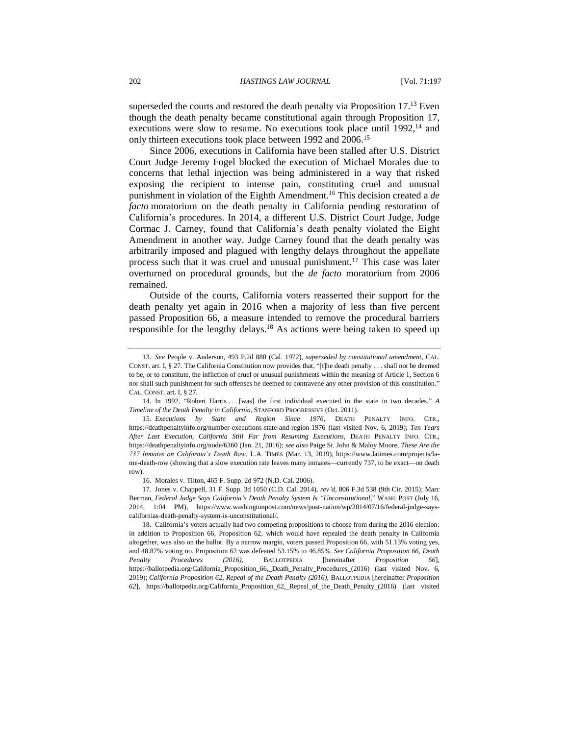<span id="page-6-0"></span>superseded the courts and restored the death penalty via Proposition 17.<sup>13</sup> Even though the death penalty became constitutional again through Proposition 17, executions were slow to resume. No executions took place until  $1992$ ,  $^{14}$  and only thirteen executions took place between 1992 and 2006.<sup>15</sup>

Since 2006, executions in California have been stalled after U.S. District Court Judge Jeremy Fogel blocked the execution of Michael Morales due to concerns that lethal injection was being administered in a way that risked exposing the recipient to intense pain, constituting cruel and unusual punishment in violation of the Eighth Amendment.<sup>16</sup> This decision created a *de facto* moratorium on the death penalty in California pending restoration of California's procedures. In 2014, a different U.S. District Court Judge, Judge Cormac J. Carney, found that California's death penalty violated the Eight Amendment in another way. Judge Carney found that the death penalty was arbitrarily imposed and plagued with lengthy delays throughout the appellate process such that it was cruel and unusual punishment. <sup>17</sup> This case was later overturned on procedural grounds, but the *de facto* moratorium from 2006 remained.

Outside of the courts, California voters reasserted their support for the death penalty yet again in 2016 when a majority of less than five percent passed Proposition 66, a measure intended to remove the procedural barriers responsible for the lengthy delays.<sup>18</sup> As actions were being taken to speed up

<span id="page-6-1"></span><sup>13.</sup> *See* People v. Anderson, 493 P.2d 880 (Cal. 1972), *superseded by constitutional amendment*, CAL. CONST. art. I, § 27. The California Constitution now provides that, "[t]he death penalty . . . shall not be deemed to be, or to constitute, the infliction of cruel or unusual punishments within the meaning of Article 1, Section 6 nor shall such punishment for such offenses be deemed to contravene any other provision of this constitution." CAL. CONST. art. I, § 27.

<sup>14.</sup> In 1992, "Robert Harris . . . [was] the first individual executed in the state in two decades." *A Timeline of the Death Penalty in California*, STANFORD PROGRESSIVE (Oct. 2011).

<sup>15.</sup> *Executions by State and Region Since 1976*, DEATH PENALTY INFO. CTR., https://deathpenaltyinfo.org/number-executions-state-and-region-1976 (last visited Nov. 6, 2019); *Ten Years After Last Execution, California Still Far from Resuming Executions*, DEATH PENALTY INFO. CTR., https://deathpenaltyinfo.org/node/6360 (Jan. 21, 2016); *see also* Paige St. John & Maloy Moore, *These Are the 737 Inmates on California's Death Row*, L.A. TIMES (Mar. 13, 2019), https://www.latimes.com/projects/lame-death-row (showing that a slow execution rate leaves many inmates—currently 737, to be exact—on death row).

<sup>16</sup>*.* Morales v. Tilton, 465 F. Supp. 2d 972 (N.D. Cal. 2006).

<sup>17</sup>*.* Jones v. Chappell, 31 F. Supp. 3d 1050 (C.D. Cal. 2014), *rev'd*, 806 F.3d 538 (9th Cir. 2015); Marc Berman, *Federal Judge Says California's Death Penalty System Is "Unconstitutional*," WASH. POST (July 16, 2014, 1:04 PM), https://www.washingtonpost.com/news/post-nation/wp/2014/07/16/federal-judge-sayscalifornias-death-penalty-system-is-unconstitutional/.

<sup>18.</sup> California's voters actually had two competing propositions to choose from during the 2016 election: in addition to Proposition 66, Proposition 62, which would have repealed the death penalty in California altogether, was also on the ballot. By a narrow margin, voters passed Proposition 66, with 51.13% voting yes, and 48.87% voting no. Proposition 62 was defeated 53.15% to 46.85%. *See California Proposition 66, Death Penalty Procedures (2016)*, BALLOTPEDIA [hereinafter *Proposition 66*], https://ballotpedia.org/California Proposition 66, Death Penalty Procedures (2016) (last visited Nov. 6, 2019); *California Proposition 62, Repeal of the Death Penalty (2016)*, BALLOTPEDIA [hereinafter *Proposition 62*], https://ballotpedia.org/California\_Proposition\_62,\_Repeal\_of\_the\_Death\_Penalty\_(2016) (last visited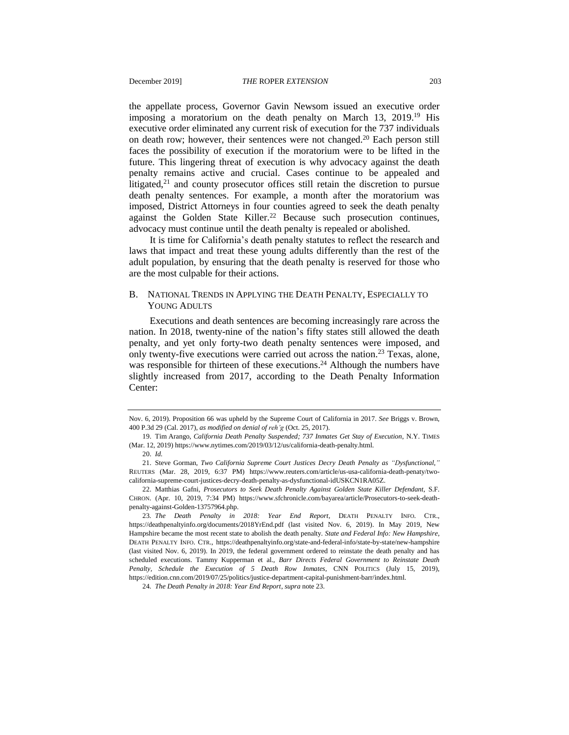the appellate process, Governor Gavin Newsom issued an executive order imposing a moratorium on the death penalty on March 13, 2019.<sup>19</sup> His executive order eliminated any current risk of execution for the 737 individuals on death row; however, their sentences were not changed.<sup>20</sup> Each person still faces the possibility of execution if the moratorium were to be lifted in the future. This lingering threat of execution is why advocacy against the death penalty remains active and crucial. Cases continue to be appealed and litigated,<sup>21</sup> and county prosecutor offices still retain the discretion to pursue death penalty sentences. For example, a month after the moratorium was imposed, District Attorneys in four counties agreed to seek the death penalty against the Golden State Killer.<sup>22</sup> Because such prosecution continues, advocacy must continue until the death penalty is repealed or abolished.

It is time for California's death penalty statutes to reflect the research and laws that impact and treat these young adults differently than the rest of the adult population, by ensuring that the death penalty is reserved for those who are the most culpable for their actions.

#### B. NATIONAL TRENDS IN APPLYING THE DEATH PENALTY, ESPECIALLY TO YOUNG ADULTS

<span id="page-7-0"></span>Executions and death sentences are becoming increasingly rare across the nation. In 2018, twenty-nine of the nation's fifty states still allowed the death penalty, and yet only forty-two death penalty sentences were imposed, and only twenty-five executions were carried out across the nation.<sup>23</sup> Texas, alone, was responsible for thirteen of these executions.<sup>24</sup> Although the numbers have slightly increased from 2017, according to the Death Penalty Information Center:

Nov. 6, 2019). Proposition 66 was upheld by the Supreme Court of California in 2017. *See* Briggs v. Brown, 400 P.3d 29 (Cal. 2017), *as modified on denial of reh'g* (Oct. 25, 2017).

<sup>19.</sup> Tim Arango, *California Death Penalty Suspended; 737 Inmates Get Stay of Execution*, N.Y. TIMES (Mar. 12, 2019) https://www.nytimes.com/2019/03/12/us/california-death-penalty.html.

<sup>20.</sup> *Id.*

<sup>21.</sup> Steve Gorman, *Two California Supreme Court Justices Decry Death Penalty as "Dysfunctional*,*"* REUTERS (Mar. 28, 2019, 6:37 PM) https://www.reuters.com/article/us-usa-california-death-penaty/twocalifornia-supreme-court-justices-decry-death-penalty-as-dysfunctional-idUSKCN1RA05Z.

<sup>22.</sup> Matthias Gafni, *Prosecutors to Seek Death Penalty Against Golden State Killer Defendant*, S.F. CHRON. (Apr. 10, 2019, 7:34 PM) https://www.sfchronicle.com/bayarea/article/Prosecutors-to-seek-deathpenalty-against-Golden-13757964.php.

<sup>23</sup>*. The Death Penalty in 2018: Year End Report*, DEATH PENALTY INFO. CTR., https://deathpenaltyinfo.org/documents/2018YrEnd.pdf (last visited Nov. 6, 2019). In May 2019, New Hampshire became the most recent state to abolish the death penalty. *State and Federal Info: New Hampshire*, DEATH PENALTY INFO. CTR., https://deathpenaltyinfo.org/state-and-federal-info/state-by-state/new-hampshire (last visited Nov. 6, 2019). In 2019, the federal government ordered to reinstate the death penalty and has scheduled executions. Tammy Kupperman et al., *Barr Directs Federal Government to Reinstate Death Penalty, Schedule the Execution of 5 Death Row Inmates*, CNN POLITICS (July 15, 2019), https://edition.cnn.com/2019/07/25/politics/justice-department-capital-punishment-barr/index.html.

<sup>24</sup>*. The Death Penalty in 2018: Year End Report*, *supra* note [23.](#page-7-0)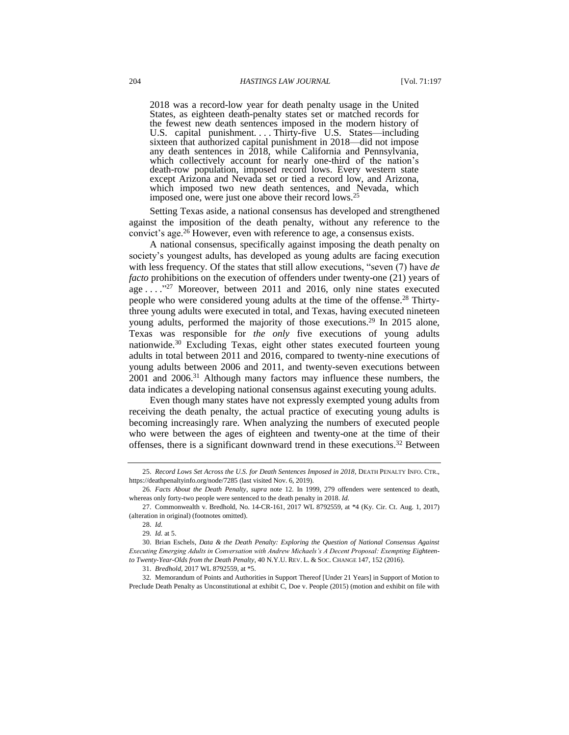2018 was a record-low year for death penalty usage in the United States, as eighteen death-penalty states set or matched records for the fewest new death sentences imposed in the modern history of U.S. capital punishment.... Thirty-five U.S. States—including sixteen that authorized capital punishment in 2018—did not impose any death sentences in 2018, while California and Pennsylvania, which collectively account for nearly one-third of the nation's death-row population, imposed record lows. Every western state except Arizona and Nevada set or tied a record low, and Arizona, which imposed two new death sentences, and Nevada, which imposed one, were just one above their record lows.<sup>25</sup>

Setting Texas aside, a national consensus has developed and strengthened against the imposition of the death penalty, without any reference to the convict's age.<sup>26</sup> However, even with reference to age, a consensus exists.

A national consensus, specifically against imposing the death penalty on society's youngest adults, has developed as young adults are facing execution with less frequency. Of the states that still allow executions, "seven (7) have *de facto* prohibitions on the execution of offenders under twenty-one (21) years of age . . . . "27 Moreover, between 2011 and 2016, only nine states executed people who were considered young adults at the time of the offense.<sup>28</sup> Thirtythree young adults were executed in total, and Texas, having executed nineteen young adults, performed the majority of those executions.<sup>29</sup> In 2015 alone, Texas was responsible for *the only* five executions of young adults nationwide.<sup>30</sup> Excluding Texas, eight other states executed fourteen young adults in total between 2011 and 2016, compared to twenty-nine executions of young adults between 2006 and 2011, and twenty-seven executions between 2001 and 2006.<sup>31</sup> Although many factors may influence these numbers, the data indicates a developing national consensus against executing young adults.

Even though many states have not expressly exempted young adults from receiving the death penalty, the actual practice of executing young adults is becoming increasingly rare. When analyzing the numbers of executed people who were between the ages of eighteen and twenty-one at the time of their offenses, there is a significant downward trend in these executions.<sup>32</sup> Between

<sup>25.</sup> *Record Lows Set Across the U.S. for Death Sentences Imposed in 2018*, DEATH PENALTY INFO. CTR., https://deathpenaltyinfo.org/node/7285 (last visited Nov. 6, 2019).

<sup>26</sup>*. Facts About the Death Penalty*, *supra* note [12.](#page-5-0) In 1999, 279 offenders were sentenced to death, whereas only forty-two people were sentenced to the death penalty in 2018. *Id.*

<sup>27.</sup> Commonwealth v. Bredhold, No. 14-CR-161, 2017 WL 8792559, at \*4 (Ky. Cir. Ct. Aug. 1, 2017) (alteration in original) (footnotes omitted).

<sup>28.</sup> *Id.*

<sup>29</sup>*. Id.* at 5.

<sup>30.</sup> Brian Eschels, *Data & the Death Penalty: Exploring the Question of National Consensus Against Executing Emerging Adults in Conversation with Andrew Michaels's A Decent Proposal: Exempting Eighteento Twenty-Year-Olds from the Death Penalty*, 40 N.Y.U. REV. L. & SOC. CHANGE 147, 152 (2016).

<sup>31.</sup> *Bredhold*, 2017 WL 8792559, at \*5.

<sup>32</sup>*.* Memorandum of Points and Authorities in Support Thereof [Under 21 Years] in Support of Motion to Preclude Death Penalty as Unconstitutional at exhibit C, Doe v. People (2015) (motion and exhibit on file with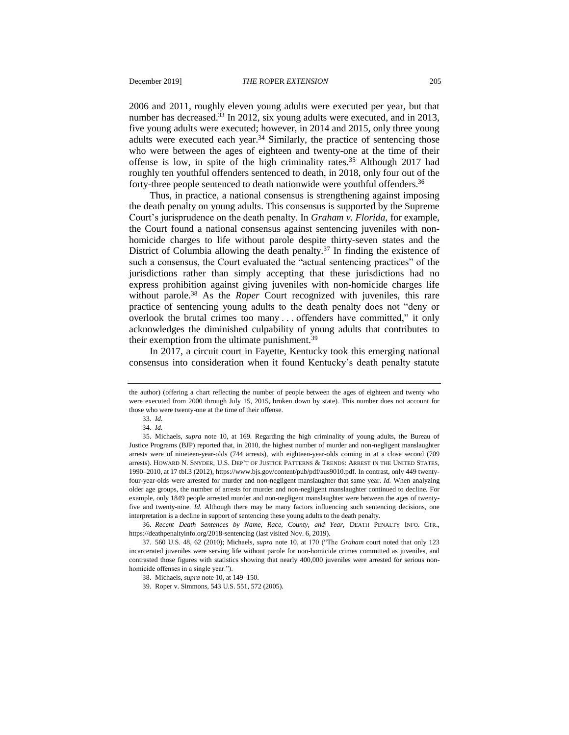2006 and 2011, roughly eleven young adults were executed per year, but that number has decreased.<sup>33</sup> In 2012, six young adults were executed, and in 2013, five young adults were executed; however, in 2014 and 2015, only three young adults were executed each year. $34$  Similarly, the practice of sentencing those who were between the ages of eighteen and twenty-one at the time of their offense is low, in spite of the high criminality rates.<sup>35</sup> Although 2017 had roughly ten youthful offenders sentenced to death, in 2018, only four out of the forty-three people sentenced to death nationwide were youthful offenders.<sup>36</sup>

Thus, in practice, a national consensus is strengthening against imposing the death penalty on young adults. This consensus is supported by the Supreme Court's jurisprudence on the death penalty. In *Graham v. Florida*, for example, the Court found a national consensus against sentencing juveniles with nonhomicide charges to life without parole despite thirty-seven states and the District of Columbia allowing the death penalty.<sup>37</sup> In finding the existence of such a consensus, the Court evaluated the "actual sentencing practices" of the jurisdictions rather than simply accepting that these jurisdictions had no express prohibition against giving juveniles with non-homicide charges life without parole.<sup>38</sup> As the *Roper* Court recognized with juveniles, this rare practice of sentencing young adults to the death penalty does not "deny or overlook the brutal crimes too many . . . offenders have committed," it only acknowledges the diminished culpability of young adults that contributes to their exemption from the ultimate punishment.<sup>39</sup>

In 2017, a circuit court in Fayette, Kentucky took this emerging national consensus into consideration when it found Kentucky's death penalty statute

the author) (offering a chart reflecting the number of people between the ages of eighteen and twenty who were executed from 2000 through July 15, 2015, broken down by state). This number does not account for those who were twenty-one at the time of their offense.

<sup>33</sup>*. Id.*

<sup>34</sup>*. Id.*

<sup>35.</sup> Michaels, *supra* note [10,](#page-4-0) at 169. Regarding the high criminality of young adults, the Bureau of Justice Programs (BJP) reported that, in 2010, the highest number of murder and non-negligent manslaughter arrests were of nineteen-year-olds (744 arrests), with eighteen-year-olds coming in at a close second (709 arrests). HOWARD N. SNYDER, U.S. DEP'T OF JUSTICE PATTERNS & TRENDS: ARREST IN THE UNITED STATES, 1990–2010, at 17 tbl.3 (2012), https://www.bjs.gov/content/pub/pdf/aus9010.pdf. In contrast, only 449 twentyfour-year-olds were arrested for murder and non-negligent manslaughter that same year. *Id.* When analyzing older age groups, the number of arrests for murder and non-negligent manslaughter continued to decline. For example, only 1849 people arrested murder and non-negligent manslaughter were between the ages of twentyfive and twenty-nine. *Id.* Although there may be many factors influencing such sentencing decisions, one interpretation is a decline in support of sentencing these young adults to the death penalty.

<sup>36.</sup> *Recent Death Sentences by Name, Race, County, and Year*, DEATH PENALTY INFO. CTR., https://deathpenaltyinfo.org/2018-sentencing (last visited Nov. 6, 2019).

<sup>37.</sup> 560 U.S. 48, 62 (2010); Michaels, *supra* note [10,](#page-4-0) at 170 ("The *Graham* court noted that only 123 incarcerated juveniles were serving life without parole for non-homicide crimes committed as juveniles, and contrasted those figures with statistics showing that nearly 400,000 juveniles were arrested for serious nonhomicide offenses in a single year.").

<sup>38.</sup> Michaels, *supra* not[e 10,](#page-4-0) at 149–150.

<sup>39</sup>*.* Roper v. Simmons, 543 U.S. 551, 572 (2005).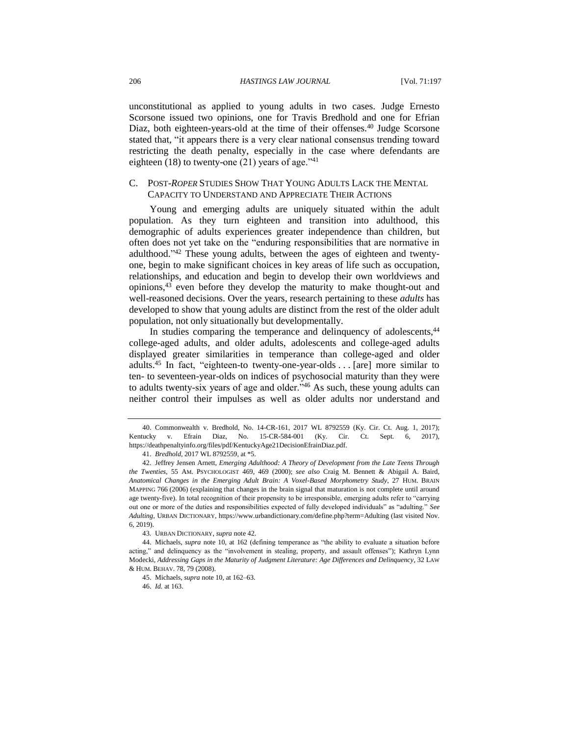unconstitutional as applied to young adults in two cases. Judge Ernesto Scorsone issued two opinions, one for Travis Bredhold and one for Efrian Diaz, both eighteen-years-old at the time of their offenses.<sup>40</sup> Judge Scorsone stated that, "it appears there is a very clear national consensus trending toward restricting the death penalty, especially in the case where defendants are eighteen (18) to twenty-one (21) years of age."<sup>41</sup>

#### C. POST-*ROPER* STUDIES SHOW THAT YOUNG ADULTS LACK THE MENTAL CAPACITY TO UNDERSTAND AND APPRECIATE THEIR ACTIONS

<span id="page-10-0"></span>Young and emerging adults are uniquely situated within the adult population. As they turn eighteen and transition into adulthood, this demographic of adults experiences greater independence than children, but often does not yet take on the "enduring responsibilities that are normative in adulthood."<sup>42</sup> These young adults, between the ages of eighteen and twentyone, begin to make significant choices in key areas of life such as occupation, relationships, and education and begin to develop their own worldviews and opinions,<sup>43</sup> even before they develop the maturity to make thought-out and well-reasoned decisions. Over the years, research pertaining to these *adults* has developed to show that young adults are distinct from the rest of the older adult population, not only situationally but developmentally.

In studies comparing the temperance and delinquency of adolescents,<sup>44</sup> college-aged adults, and older adults, adolescents and college-aged adults displayed greater similarities in temperance than college-aged and older adults.<sup>45</sup> In fact, "eighteen-to twenty-one-year-olds  $\dots$  [are] more similar to ten- to seventeen-year-olds on indices of psychosocial maturity than they were to adults twenty-six years of age and older."<sup>46</sup> As such, these young adults can neither control their impulses as well as older adults nor understand and

46. *Id.* at 163.

<sup>40.</sup> Commonwealth v. Bredhold, No. 14-CR-161, 2017 WL 8792559 (Ky. Cir. Ct. Aug. 1, 2017); Kentucky v. Efrain Diaz, No. 15-CR-584-001 (Ky. Cir. Ct. Sept. 6, 2017), https://deathpenaltyinfo.org/files/pdf/KentuckyAge21DecisionEfrainDiaz.pdf.

<sup>41.</sup> *Bredhold*, 2017 WL 8792559, at \*5.

<sup>42.</sup> Jeffrey Jensen Arnett, *Emerging Adulthood: A Theory of Development from the Late Teens Through the Twenties*, 55 AM. PSYCHOLOGIST 469, 469 (2000); *see also* Craig M. Bennett & Abigail A. Baird, *Anatomical Changes in the Emerging Adult Brain: A Voxel-Based Morphometry Study*, 27 HUM. BRAIN MAPPING 766 (2006) (explaining that changes in the brain signal that maturation is not complete until around age twenty-five). In total recognition of their propensity to be irresponsible, emerging adults refer to "carrying out one or more of the duties and responsibilities expected of fully developed individuals" as "adulting." *See Adulting*, URBAN DICTIONARY, https://www.urbandictionary.com/define.php?term=Adulting (last visited Nov. 6, 2019).

<sup>43</sup>*.* URBAN DICTIONARY, *supra* note [42.](#page-10-0)

<sup>44.</sup> Michaels, *supra* note [10,](#page-4-0) at 162 (defining temperance as "the ability to evaluate a situation before acting," and delinquency as the "involvement in stealing, property, and assault offenses"); Kathryn Lynn Modecki, *Addressing Gaps in the Maturity of Judgment Literature: Age Differences and Delinquency*, 32 LAW & HUM. BEHAV. 78, 79 (2008).

<sup>45.</sup> Michaels, *supra* not[e 10,](#page-4-0) at 162–63.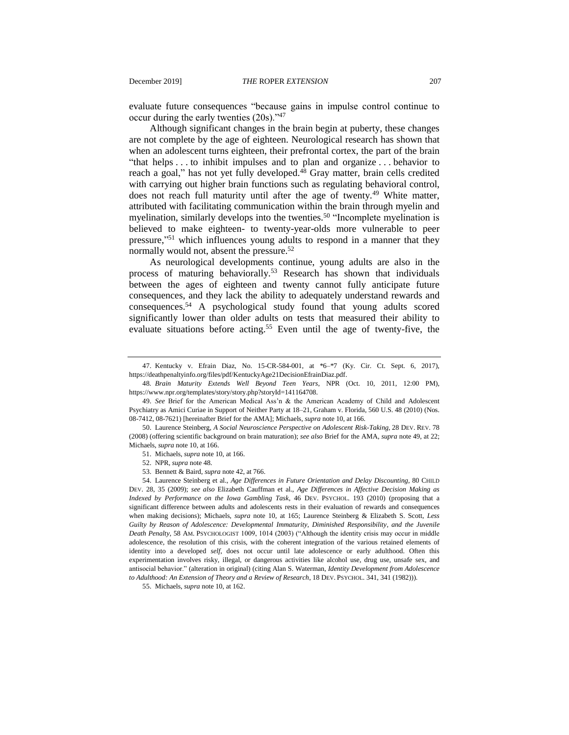evaluate future consequences "because gains in impulse control continue to occur during the early twenties (20s)."<sup>47</sup>

<span id="page-11-1"></span><span id="page-11-0"></span>Although significant changes in the brain begin at puberty, these changes are not complete by the age of eighteen. Neurological research has shown that when an adolescent turns eighteen, their prefrontal cortex, the part of the brain "that helps . . . to inhibit impulses and to plan and organize . . . behavior to reach a goal," has not yet fully developed.<sup>48</sup> Gray matter, brain cells credited with carrying out higher brain functions such as regulating behavioral control, does not reach full maturity until after the age of twenty.<sup>49</sup> White matter, attributed with facilitating communication within the brain through myelin and myelination, similarly develops into the twenties.<sup>50</sup> "Incomplete myelination is believed to make eighteen- to twenty-year-olds more vulnerable to peer pressure," <sup>51</sup> which influences young adults to respond in a manner that they normally would not, absent the pressure.<sup>52</sup>

<span id="page-11-3"></span><span id="page-11-2"></span>As neurological developments continue, young adults are also in the process of maturing behaviorally.<sup>53</sup> Research has shown that individuals between the ages of eighteen and twenty cannot fully anticipate future consequences, and they lack the ability to adequately understand rewards and consequences.<sup>54</sup> A psychological study found that young adults scored significantly lower than older adults on tests that measured their ability to evaluate situations before acting.<sup>55</sup> Even until the age of twenty-five, the

55. Michaels, *supra* not[e 10,](#page-4-0) at 162.

<sup>47.</sup> Kentucky v. Efrain Diaz, No. 15-CR-584-001, at \*6–\*7 (Ky. Cir. Ct. Sept. 6, 2017), https://deathpenaltyinfo.org/files/pdf/KentuckyAge21DecisionEfrainDiaz.pdf.

<sup>48</sup>*. Brain Maturity Extends Well Beyond Teen Years*, NPR (Oct. 10, 2011, 12:00 PM), https://www.npr.org/templates/story/story.php?storyId=141164708.

<sup>49.</sup> *See* Brief for the American Medical Ass'n & the American Academy of Child and Adolescent Psychiatry as Amici Curiae in Support of Neither Party at 18–21, Graham v. Florida, 560 U.S. 48 (2010) (Nos. 08-7412, 08-7621) [hereinafter Brief for the AMA]; Michaels, *supra* not[e 10,](#page-4-0) at 166.

<sup>50.</sup> Laurence Steinberg, *A Social Neuroscience Perspective on Adolescent Risk-Taking*, 28 DEV. REV. 78 (2008) (offering scientific background on brain maturation); *see also* Brief for the AMA, *supra* note [49,](#page-11-0) at 22; Michaels, *supra* not[e 10,](#page-4-0) at 166.

<sup>51.</sup> Michaels, *supra* not[e 10,](#page-4-0) at 166.

<sup>52.</sup> NPR, *supra* note [48.](#page-11-1)

<sup>53.</sup> Bennett & Baird, *supra* note [42,](#page-10-0) at 766.

<sup>54.</sup> Laurence Steinberg et al., *Age Differences in Future Orientation and Delay Discounting*, 80 CHILD DEV. 28, 35 (2009); *see also* Elizabeth Cauffman et al., *Age Differences in Affective Decision Making as Indexed by Performance on the Iowa Gambling Task*, 46 DEV. PSYCHOL. 193 (2010) (proposing that a significant difference between adults and adolescents rests in their evaluation of rewards and consequences when making decisions); Michaels, *supra* note [10,](#page-4-0) at 165; Laurence Steinberg & Elizabeth S. Scott, *Less Guilty by Reason of Adolescence: Developmental Immaturity, Diminished Responsibility, and the Juvenile Death Penalty*, 58 AM. PSYCHOLOGIST 1009, 1014 (2003) ("Although the identity crisis may occur in middle adolescence, the resolution of this crisis, with the coherent integration of the various retained elements of identity into a developed *self*, does not occur until late adolescence or early adulthood. Often this experimentation involves risky, illegal, or dangerous activities like alcohol use, drug use, unsafe sex, and antisocial behavior." (alteration in original) (citing Alan S. Waterman, *Identity Development from Adolescence to Adulthood: An Extension of Theory and a Review of Research*, 18 DEV. PSYCHOL. 341, 341 (1982))).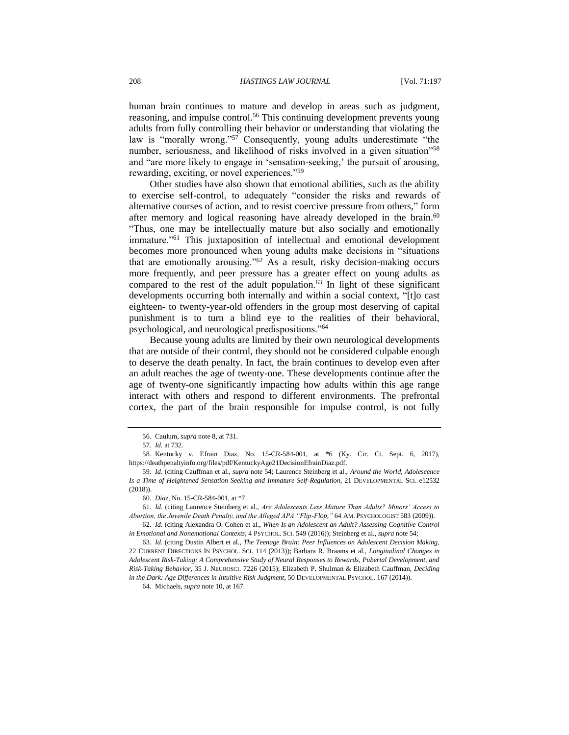human brain continues to mature and develop in areas such as judgment, reasoning, and impulse control.<sup>56</sup> This continuing development prevents young adults from fully controlling their behavior or understanding that violating the law is "morally wrong."<sup>57</sup> Consequently, young adults underestimate "the number, seriousness, and likelihood of risks involved in a given situation<sup>158</sup> and "are more likely to engage in 'sensation-seeking,' the pursuit of arousing, rewarding, exciting, or novel experiences."<sup>59</sup>

Other studies have also shown that emotional abilities, such as the ability to exercise self-control, to adequately "consider the risks and rewards of alternative courses of action, and to resist coercive pressure from others," form after memory and logical reasoning have already developed in the brain.<sup>60</sup> "Thus, one may be intellectually mature but also socially and emotionally immature."<sup>61</sup> This juxtaposition of intellectual and emotional development becomes more pronounced when young adults make decisions in "situations that are emotionally arousing." $62$  As a result, risky decision-making occurs more frequently, and peer pressure has a greater effect on young adults as compared to the rest of the adult population.<sup>63</sup> In light of these significant developments occurring both internally and within a social context, "[t]o cast eighteen- to twenty-year-old offenders in the group most deserving of capital punishment is to turn a blind eye to the realities of their behavioral, psychological, and neurological predispositions."<sup>64</sup>

Because young adults are limited by their own neurological developments that are outside of their control, they should not be considered culpable enough to deserve the death penalty. In fact, the brain continues to develop even after an adult reaches the age of twenty-one. These developments continue after the age of twenty-one significantly impacting how adults within this age range interact with others and respond to different environments. The prefrontal cortex, the part of the brain responsible for impulse control, is not fully

61*. Id*. (citing Laurence Steinberg et al., *Are Adolescents Less Mature Than Adults? Minors' Access to Abortion, the Juvenile Death Penalty, and the Alleged APA "Flip-Flop,"* 64 AM. PSYCHOLOGIST 583 (2009)).

62. *Id*. (citing Alexandra O. Cohen et al., *When Is an Adolescent an Adult? Assessing Cognitive Control in Emotional and Nonemotional Contexts*, 4 PSYCHOL. SCI. 549 (2016)); Steinberg et al., *supra* not[e 54;](#page-11-2)

63*. Id*. (citing Dustin Albert et al., *The Teenage Brain: Peer Influences on Adolescent Decision Making*, 22 CURRENT DIRECTIONS IN PSYCHOL. SCI. 114 (2013)); Barbara R. Braams et al., *Longitudinal Changes in Adolescent Risk-Taking: A Comprehensive Study of Neural Responses to Rewards, Pubertal Development, and Risk-Taking Behavior*, 35 J. NEUROSCI. 7226 (2015); Elizabeth P. Shulman & Elizabeth Cauffman, *Deciding in the Dark: Age Differences in Intuitive Risk Judgment*, 50 DEVELOPMENTAL PSYCHOL. 167 (2014)).

64. Michaels, *supra* not[e 10,](#page-4-0) at 167.

<sup>56.</sup> Caulum, *supra* not[e 8,](#page-3-0) at 731.

<sup>57</sup>*. Id.* at 732.

<sup>58.</sup> Kentucky v. Efrain Diaz, No. 15-CR-584-001, at \*6 (Ky. Cir. Ct. Sept. 6, 2017), https://deathpenaltyinfo.org/files/pdf/KentuckyAge21DecisionEfrainDiaz.pdf.

<sup>59</sup>*. Id.* (citing Cauffman et al., *supra* note [54;](#page-11-2) Laurence Steinberg et al., *Around the World, Adolescence Is a Time of Heightened Sensation Seeking and Immature Self-Regulation*, 21 DEVELOPMENTAL SCI. e12532 (2018)).

<sup>60.</sup> *Diaz*, No. 15-CR-584-001, at \*7.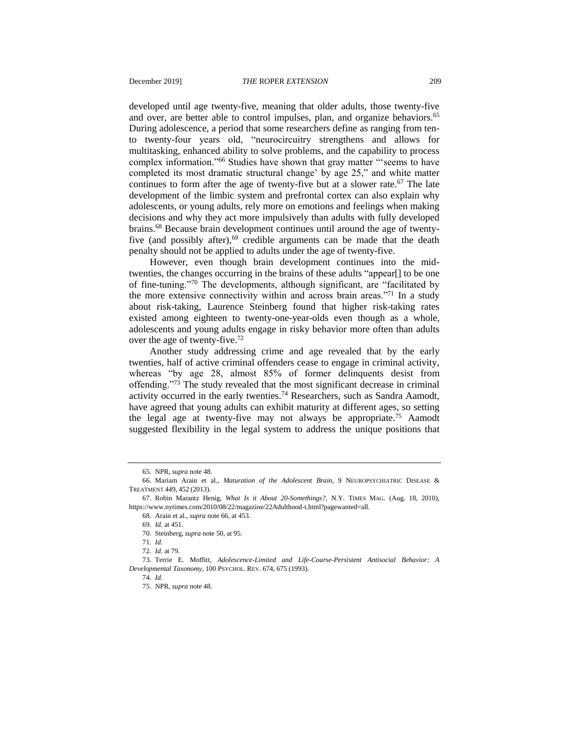<span id="page-13-0"></span>developed until age twenty-five, meaning that older adults, those twenty-five and over, are better able to control impulses, plan, and organize behaviors.<sup>65</sup> During adolescence, a period that some researchers define as ranging from tento twenty-four years old, "neurocircuitry strengthens and allows for multitasking, enhanced ability to solve problems, and the capability to process complex information."<sup>66</sup> Studies have shown that gray matter "'seems to have completed its most dramatic structural change' by age 25," and white matter continues to form after the age of twenty-five but at a slower rate.<sup>67</sup> The late development of the limbic system and prefrontal cortex can also explain why adolescents, or young adults, rely more on emotions and feelings when making decisions and why they act more impulsively than adults with fully developed brains.<sup>68</sup> Because brain development continues until around the age of twentyfive (and possibly after), $69$  credible arguments can be made that the death penalty should not be applied to adults under the age of twenty-five.

However, even though brain development continues into the midtwenties, the changes occurring in the brains of these adults "appear[] to be one of fine-tuning."<sup>70</sup> The developments, although significant, are "facilitated by the more extensive connectivity within and across brain areas."<sup>71</sup> In a study about risk-taking, Laurence Steinberg found that higher risk-taking rates existed among eighteen to twenty-one-year-olds even though as a whole, adolescents and young adults engage in risky behavior more often than adults over the age of twenty-five.<sup>72</sup>

Another study addressing crime and age revealed that by the early twenties, half of active criminal offenders cease to engage in criminal activity, whereas "by age 28, almost 85% of former delinquents desist from offending."<sup>73</sup> The study revealed that the most significant decrease in criminal activity occurred in the early twenties.<sup>74</sup> Researchers, such as Sandra Aamodt, have agreed that young adults can exhibit maturity at different ages, so setting the legal age at twenty-five may not always be appropriate.<sup>75</sup> Aamodt suggested flexibility in the legal system to address the unique positions that

<sup>65</sup>*.* NPR, *supra* note [48.](#page-11-1)

<sup>66.</sup> Mariam Arain et al., *Maturation of the Adolescent Brain*, 9 NEUROPSYCHIATRIC DISEASE & TREATMENT 449, 452 (2013).

<sup>67.</sup> Robin Marantz Henig, *What Is it About 20-Somethings?*, N.Y. TIMES MAG. (Aug. 18, 2010), https://www.nytimes.com/2010/08/22/magazine/22Adulthood-t.html?pagewanted=all.

<sup>68.</sup> Arain et al., *supra* note [66,](#page-13-0) at 453.

<sup>69.</sup> *Id.* at 451.

<sup>70.</sup> Steinberg, *supra* note [50,](#page-11-3) at 95.

<sup>71</sup>*. Id.*

<sup>72</sup>*. Id.* at 79.

<sup>73.</sup> Terrie E. Moffitt, *Adolescence-Limited and Life-Course-Persistent Antisocial Behavior: A Developmental Taxonomy*, 100 PSYCHOL. REV. 674, 675 (1993).

<sup>74</sup>*. Id.*

<sup>75.</sup> NPR, *supra* note [48.](#page-11-1)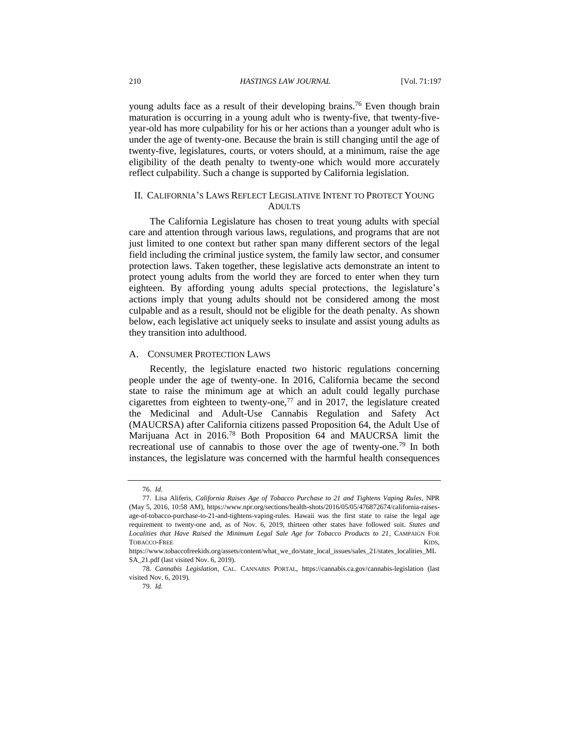young adults face as a result of their developing brains.<sup>76</sup> Even though brain maturation is occurring in a young adult who is twenty-five, that twenty-fiveyear-old has more culpability for his or her actions than a younger adult who is under the age of twenty-one. Because the brain is still changing until the age of twenty-five, legislatures, courts, or voters should, at a minimum, raise the age eligibility of the death penalty to twenty-one which would more accurately reflect culpability. Such a change is supported by California legislation.

#### II. CALIFORNIA'S LAWS REFLECT LEGISLATIVE INTENT TO PROTECT YOUNG ADULTS

The California Legislature has chosen to treat young adults with special care and attention through various laws, regulations, and programs that are not just limited to one context but rather span many different sectors of the legal field including the criminal justice system, the family law sector, and consumer protection laws. Taken together, these legislative acts demonstrate an intent to protect young adults from the world they are forced to enter when they turn eighteen. By affording young adults special protections, the legislature's actions imply that young adults should not be considered among the most culpable and as a result, should not be eligible for the death penalty. As shown below, each legislative act uniquely seeks to insulate and assist young adults as they transition into adulthood.

#### A. CONSUMER PROTECTION LAWS

<span id="page-14-0"></span>Recently, the legislature enacted two historic regulations concerning people under the age of twenty-one. In 2016, California became the second state to raise the minimum age at which an adult could legally purchase cigarettes from eighteen to twenty-one,<sup>77</sup> and in 2017, the legislature created the Medicinal and Adult-Use Cannabis Regulation and Safety Act (MAUCRSA) after California citizens passed Proposition 64, the Adult Use of Marijuana Act in 2016.<sup>78</sup> Both Proposition 64 and MAUCRSA limit the recreational use of cannabis to those over the age of twenty-one.<sup>79</sup> In both instances, the legislature was concerned with the harmful health consequences

<span id="page-14-1"></span><sup>76.</sup> *Id.*

<sup>77.</sup> Lisa Aliferis, *California Raises Age of Tobacco Purchase to 21 and Tightens Vaping Rules*, NPR (May 5, 2016, 10:58 AM), https://www.npr.org/sections/health-shots/2016/05/05/476872674/california-raisesage-of-tobacco-purchase-to-21-and-tightens-vaping-rules. Hawaii was the first state to raise the legal age requirement to twenty-one and, as of Nov. 6, 2019, thirteen other states have followed suit. *States and Localities that Have Raised the Minimum Legal Sale Age for Tobacco Products to 21*, CAMPAIGN FOR TOBACCO-FREE KIDS,

https://www.tobaccofreekids.org/assets/content/what\_we\_do/state\_local\_issues/sales\_21/states\_localities\_ML SA\_21.pdf (last visited Nov. 6, 2019).

<sup>78</sup>*. Cannabis Legislation*, CAL. CANNABIS PORTAL, https://cannabis.ca.gov/cannabis-legislation (last visited Nov. 6, 2019).

<sup>79</sup>*. Id.*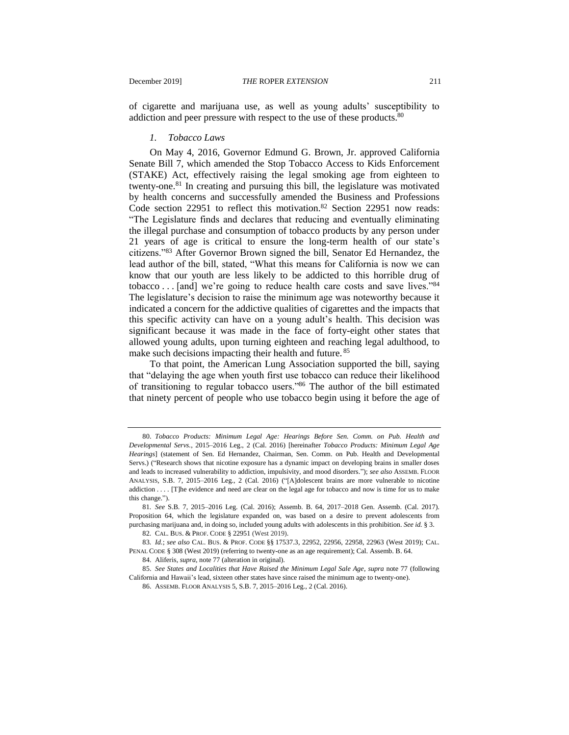of cigarette and marijuana use, as well as young adults' susceptibility to addiction and peer pressure with respect to the use of these products.<sup>80</sup>

#### *1. Tobacco Laws*

On May 4, 2016, Governor Edmund G. Brown, Jr. approved California Senate Bill 7, which amended the Stop Tobacco Access to Kids Enforcement (STAKE) Act, effectively raising the legal smoking age from eighteen to twenty-one. $81$  In creating and pursuing this bill, the legislature was motivated by health concerns and successfully amended the Business and Professions Code section 22951 to reflect this motivation.<sup>82</sup> Section 22951 now reads: "The Legislature finds and declares that reducing and eventually eliminating the illegal purchase and consumption of tobacco products by any person under 21 years of age is critical to ensure the long-term health of our state's citizens."<sup>83</sup> After Governor Brown signed the bill, Senator Ed Hernandez, the lead author of the bill, stated, "What this means for California is now we can know that our youth are less likely to be addicted to this horrible drug of tobacco . . . [and] we're going to reduce health care costs and save lives."<sup>84</sup> The legislature's decision to raise the minimum age was noteworthy because it indicated a concern for the addictive qualities of cigarettes and the impacts that this specific activity can have on a young adult's health. This decision was significant because it was made in the face of forty-eight other states that allowed young adults, upon turning eighteen and reaching legal adulthood, to make such decisions impacting their health and future. 85

To that point, the American Lung Association supported the bill, saying that "delaying the age when youth first use tobacco can reduce their likelihood of transitioning to regular tobacco users."<sup>86</sup> The author of the bill estimated that ninety percent of people who use tobacco begin using it before the age of

<sup>80.</sup> *Tobacco Products: Minimum Legal Age: Hearings Before Sen. Comm. on Pub. Health and Developmental Servs.*, 2015–2016 Leg., 2 (Cal. 2016) [hereinafter *Tobacco Products: Minimum Legal Age Hearings*] (statement of Sen. Ed Hernandez, Chairman, Sen. Comm. on Pub. Health and Developmental Servs.) ("Research shows that nicotine exposure has a dynamic impact on developing brains in smaller doses and leads to increased vulnerability to addiction, impulsivity, and mood disorders."); *see also* ASSEMB. FLOOR ANALYSIS, S.B. 7, 2015–2016 Leg., 2 (Cal. 2016) ("[A]dolescent brains are more vulnerable to nicotine addiction . . . . [T]he evidence and need are clear on the legal age for tobacco and now is time for us to make this change.")

<sup>81</sup>*. See* S.B. 7, 2015–2016 Leg. (Cal. 2016); Assemb. B. 64, 2017–2018 Gen. Assemb. (Cal. 2017). Proposition 64, which the legislature expanded on, was based on a desire to prevent adolescents from purchasing marijuana and, in doing so, included young adults with adolescents in this prohibition. *See id.* § 3.

<sup>82</sup>*.* CAL. BUS. & PROF. CODE § 22951 (West 2019).

<sup>83</sup>*. Id.*; *see also* CAL. BUS. & PROF. CODE §§ 17537.3, 22952, 22956, 22958, 22963 (West 2019); CAL. PENAL CODE § 308 (West 2019) (referring to twenty-one as an age requirement); Cal. Assemb. B. 64.

<sup>84.</sup> Aliferis, *supra*, note [77](#page-14-0) (alteration in original).

<sup>85.</sup> *See States and Localities that Have Raised the Minimum Legal Sale Age*, *supra* note [77](#page-14-0) (following California and Hawaii's lead, sixteen other states have since raised the minimum age to twenty-one).

<sup>86.</sup> ASSEMB. FLOOR ANALYSIS 5, S.B. 7, 2015–2016 Leg., 2 (Cal. 2016).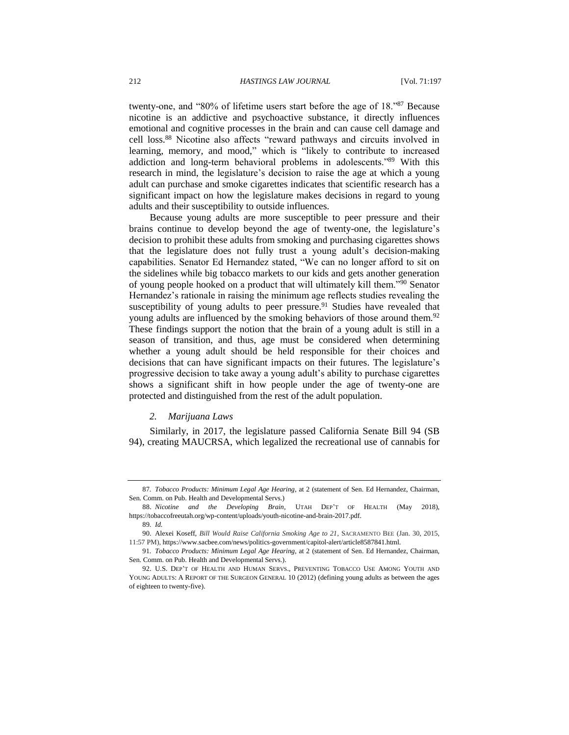twenty-one, and "80% of lifetime users start before the age of 18."<sup>87</sup> Because nicotine is an addictive and psychoactive substance, it directly influences emotional and cognitive processes in the brain and can cause cell damage and cell loss.<sup>88</sup> Nicotine also affects "reward pathways and circuits involved in learning, memory, and mood," which is "likely to contribute to increased addiction and long-term behavioral problems in adolescents."<sup>89</sup> With this research in mind, the legislature's decision to raise the age at which a young adult can purchase and smoke cigarettes indicates that scientific research has a significant impact on how the legislature makes decisions in regard to young adults and their susceptibility to outside influences.

Because young adults are more susceptible to peer pressure and their brains continue to develop beyond the age of twenty-one, the legislature's decision to prohibit these adults from smoking and purchasing cigarettes shows that the legislature does not fully trust a young adult's decision-making capabilities. Senator Ed Hernandez stated, "We can no longer afford to sit on the sidelines while big tobacco markets to our kids and gets another generation of young people hooked on a product that will ultimately kill them."<sup>90</sup> Senator Hernandez's rationale in raising the minimum age reflects studies revealing the susceptibility of young adults to peer pressure.<sup>91</sup> Studies have revealed that young adults are influenced by the smoking behaviors of those around them.<sup>92</sup> These findings support the notion that the brain of a young adult is still in a season of transition, and thus, age must be considered when determining whether a young adult should be held responsible for their choices and decisions that can have significant impacts on their futures. The legislature's progressive decision to take away a young adult's ability to purchase cigarettes shows a significant shift in how people under the age of twenty-one are protected and distinguished from the rest of the adult population.

#### *2. Marijuana Laws*

Similarly, in 2017, the legislature passed California Senate Bill 94 (SB 94), creating MAUCRSA, which legalized the recreational use of cannabis for

<sup>87</sup>*. Tobacco Products: Minimum Legal Age Hearing*, at 2 (statement of Sen. Ed Hernandez, Chairman, Sen. Comm. on Pub. Health and Developmental Servs.)

<sup>88.</sup> *Nicotine and the Developing Brain*, UTAH DEP'T OF HEALTH (May 2018), https://tobaccofreeutah.org/wp-content/uploads/youth-nicotine-and-brain-2017.pdf.

<sup>89</sup>*. Id.*

<sup>90.</sup> Alexei Koseff, *Bill Would Raise California Smoking Age to 21*, SACRAMENTO BEE (Jan. 30, 2015, 11:57 PM), https://www.sacbee.com/news/politics-government/capitol-alert/article8587841.html.

<sup>91</sup>*. Tobacco Products: Minimum Legal Age Hearing*, at 2 (statement of Sen. Ed Hernandez, Chairman, Sen. Comm. on Pub. Health and Developmental Servs.).

<sup>92.</sup> U.S. DEP'T OF HEALTH AND HUMAN SERVS., PREVENTING TOBACCO USE AMONG YOUTH AND YOUNG ADULTS: A REPORT OF THE SURGEON GENERAL 10 (2012) (defining young adults as between the ages of eighteen to twenty-five).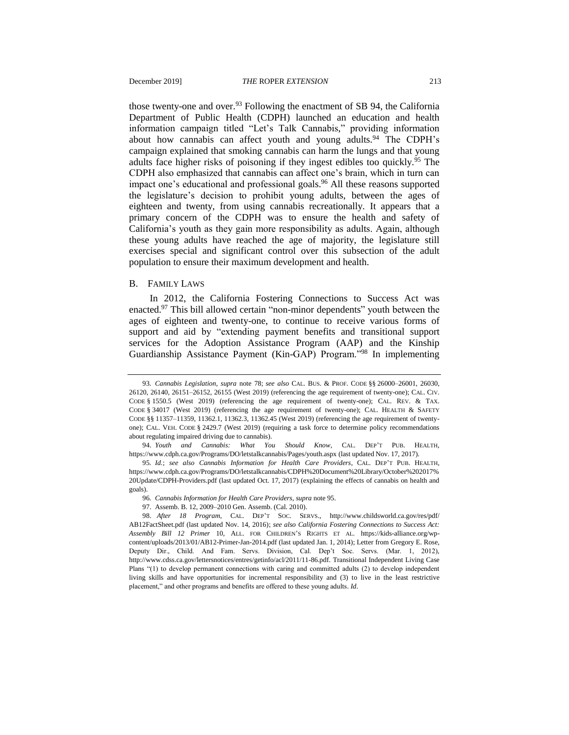<span id="page-17-0"></span>those twenty-one and over.<sup>93</sup> Following the enactment of SB 94, the California Department of Public Health (CDPH) launched an education and health information campaign titled "Let's Talk Cannabis," providing information about how cannabis can affect youth and young adults.<sup>94</sup> The CDPH's campaign explained that smoking cannabis can harm the lungs and that young adults face higher risks of poisoning if they ingest edibles too quickly.<sup>95</sup> The CDPH also emphasized that cannabis can affect one's brain, which in turn can impact one's educational and professional goals.<sup>96</sup> All these reasons supported the legislature's decision to prohibit young adults, between the ages of eighteen and twenty, from using cannabis recreationally. It appears that a primary concern of the CDPH was to ensure the health and safety of California's youth as they gain more responsibility as adults. Again, although these young adults have reached the age of majority, the legislature still exercises special and significant control over this subsection of the adult population to ensure their maximum development and health.

#### B. FAMILY LAWS

In 2012, the California Fostering Connections to Success Act was enacted.<sup>97</sup> This bill allowed certain "non-minor dependents" youth between the ages of eighteen and twenty-one, to continue to receive various forms of support and aid by "extending payment benefits and transitional support services for the Adoption Assistance Program (AAP) and the Kinship Guardianship Assistance Payment (Kin-GAP) Program."<sup>98</sup> In implementing

<span id="page-17-1"></span><sup>93</sup>*. Cannabis Legislation*, *supra* note [78;](#page-14-1) *see also* CAL. BUS. & PROF. CODE §§ 26000–26001, 26030, 26120, 26140, 26151–26152, 26155 (West 2019) (referencing the age requirement of twenty-one); CAL. CIV. CODE § 1550.5 (West 2019) (referencing the age requirement of twenty-one); CAL. REV. & TAX. CODE § 34017 (West 2019) (referencing the age requirement of twenty-one); CAL. HEALTH & SAFETY CODE §§ 11357–11359, 11362.1, 11362.3, 11362.45 (West 2019) (referencing the age requirement of twentyone); CAL. VEH. CODE § 2429.7 (West 2019) (requiring a task force to determine policy recommendations about regulating impaired driving due to cannabis).

<sup>94.</sup> *Youth and Cannabis: What You Should Know*, CAL. DEP'T PUB. HEALTH, https://www.cdph.ca.gov/Programs/DO/letstalkcannabis/Pages/youth.aspx (last updated Nov. 17, 2017).

<sup>95</sup>*. Id.*; *see also Cannabis Information for Health Care Providers*, CAL. DEP'T PUB. HEALTH, https://www.cdph.ca.gov/Programs/DO/letstalkcannabis/CDPH%20Document%20Library/October%202017% 20Update/CDPH-Providers.pdf (last updated Oct. 17, 2017) (explaining the effects of cannabis on health and goals).

<sup>96</sup>*. Cannabis Information for Health Care Providers*, *supra* note [95.](#page-17-0)

<sup>97.</sup> Assemb. B. 12, 2009–2010 Gen. Assemb. (Cal. 2010).

<sup>98.</sup> *After 18 Program*, CAL. DEP'T SOC. SERVS., http://www.childsworld.ca.gov/res/pdf/ AB12FactSheet.pdf (last updated Nov. 14, 2016); *see also California Fostering Connections to Success Act: Assembly Bill 12 Primer* 10, ALL. FOR CHILDREN'S RIGHTS ET AL. https://kids-alliance.org/wpcontent/uploads/2013/01/AB12-Primer-Jan-2014.pdf (last updated Jan. 1, 2014); Letter from Gregory E. Rose, Deputy Dir., Child. And Fam. Servs. Division, Cal. Dep't Soc. Servs. (Mar. 1, 2012), http://www.cdss.ca.gov/lettersnotices/entres/getinfo/acl/2011/11-86.pdf. Transitional Independent Living Case Plans "(1) to develop permanent connections with caring and committed adults (2) to develop independent living skills and have opportunities for incremental responsibility and (3) to live in the least restrictive placement," and other programs and benefits are offered to these young adults. *Id*.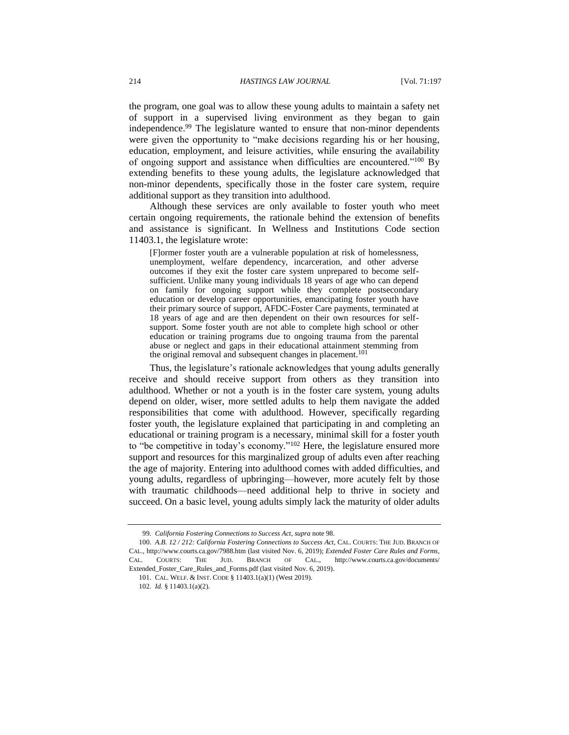the program, one goal was to allow these young adults to maintain a safety net of support in a supervised living environment as they began to gain independence.<sup>99</sup> The legislature wanted to ensure that non-minor dependents were given the opportunity to "make decisions regarding his or her housing, education, employment, and leisure activities, while ensuring the availability of ongoing support and assistance when difficulties are encountered."<sup>100</sup> By extending benefits to these young adults, the legislature acknowledged that non-minor dependents, specifically those in the foster care system, require additional support as they transition into adulthood.

Although these services are only available to foster youth who meet certain ongoing requirements, the rationale behind the extension of benefits and assistance is significant. In Wellness and Institutions Code section 11403.1, the legislature wrote:

[F]ormer foster youth are a vulnerable population at risk of homelessness, unemployment, welfare dependency, incarceration, and other adverse outcomes if they exit the foster care system unprepared to become selfsufficient. Unlike many young individuals 18 years of age who can depend on family for ongoing support while they complete postsecondary education or develop career opportunities, emancipating foster youth have their primary source of support, AFDC-Foster Care payments, terminated at 18 years of age and are then dependent on their own resources for selfsupport. Some foster youth are not able to complete high school or other education or training programs due to ongoing trauma from the parental abuse or neglect and gaps in their educational attainment stemming from the original removal and subsequent changes in placement.<sup>101</sup>

Thus, the legislature's rationale acknowledges that young adults generally receive and should receive support from others as they transition into adulthood. Whether or not a youth is in the foster care system, young adults depend on older, wiser, more settled adults to help them navigate the added responsibilities that come with adulthood. However, specifically regarding foster youth, the legislature explained that participating in and completing an educational or training program is a necessary, minimal skill for a foster youth to "be competitive in today's economy."<sup>102</sup> Here, the legislature ensured more support and resources for this marginalized group of adults even after reaching the age of majority. Entering into adulthood comes with added difficulties, and young adults, regardless of upbringing—however, more acutely felt by those with traumatic childhoods—need additional help to thrive in society and succeed. On a basic level, young adults simply lack the maturity of older adults

<sup>99</sup>*. California Fostering Connections to Success Act*, *supra* note [98.](#page-17-1)

<sup>100.</sup> *A.B. 12 / 212: California Fostering Connections to Success Act*, CAL. COURTS: THE JUD. BRANCH OF CAL., http://www.courts.ca.gov/7988.htm (last visited Nov. 6, 2019); *Extended Foster Care Rules and Forms*, CAL. COURTS: THE JUD. BRANCH OF CAL., http://www.courts.ca.gov/documents/ Extended Foster Care Rules and Forms.pdf (last visited Nov. 6, 2019).

<sup>101.</sup> CAL. WELF. & INST. CODE § 11403.1(a)(1) (West 2019).

<sup>102</sup>*. Id.* § 11403.1(a)(2).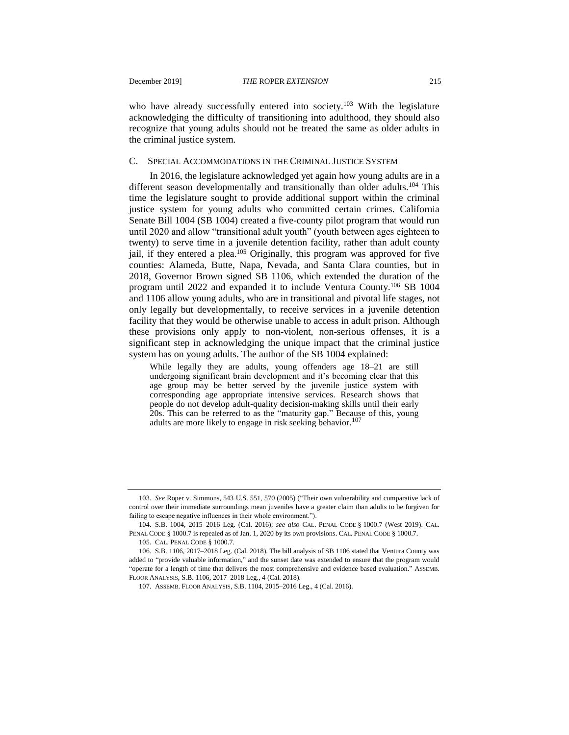the criminal justice system.

who have already successfully entered into society.<sup>103</sup> With the legislature acknowledging the difficulty of transitioning into adulthood, they should also recognize that young adults should not be treated the same as older adults in

#### C. SPECIAL ACCOMMODATIONS IN THE CRIMINAL JUSTICE SYSTEM

In 2016, the legislature acknowledged yet again how young adults are in a different season developmentally and transitionally than older adults.<sup>104</sup> This time the legislature sought to provide additional support within the criminal justice system for young adults who committed certain crimes. California Senate Bill 1004 (SB 1004) created a five-county pilot program that would run until 2020 and allow "transitional adult youth" (youth between ages eighteen to twenty) to serve time in a juvenile detention facility, rather than adult county jail, if they entered a plea.<sup>105</sup> Originally, this program was approved for five counties: Alameda, Butte, Napa, Nevada, and Santa Clara counties, but in 2018, Governor Brown signed SB 1106, which extended the duration of the program until 2022 and expanded it to include Ventura County.<sup>106</sup> SB 1004 and 1106 allow young adults, who are in transitional and pivotal life stages, not only legally but developmentally, to receive services in a juvenile detention facility that they would be otherwise unable to access in adult prison. Although these provisions only apply to non-violent, non-serious offenses, it is a significant step in acknowledging the unique impact that the criminal justice system has on young adults. The author of the SB 1004 explained:

While legally they are adults, young offenders age 18–21 are still undergoing significant brain development and it's becoming clear that this age group may be better served by the juvenile justice system with corresponding age appropriate intensive services. Research shows that people do not develop adult-quality decision-making skills until their early 20s. This can be referred to as the "maturity gap." Because of this, young adults are more likely to engage in risk seeking behavior.<sup>107</sup>

<sup>103</sup>*. See* Roper v. Simmons, 543 U.S. 551, 570 (2005) ("Their own vulnerability and comparative lack of control over their immediate surroundings mean juveniles have a greater claim than adults to be forgiven for failing to escape negative influences in their whole environment.").

<sup>104.</sup> S.B. 1004, 2015–2016 Leg. (Cal. 2016); *see also* CAL. PENAL CODE § 1000.7 (West 2019). CAL. PENAL CODE § 1000.7 is repealed as of Jan. 1, 2020 by its own provisions. CAL. PENAL CODE § 1000.7.

<sup>105</sup>*.* CAL. PENAL CODE § 1000.7.

<sup>106.</sup> S.B. 1106, 2017–2018 Leg. (Cal. 2018). The bill analysis of SB 1106 stated that Ventura County was added to "provide valuable information," and the sunset date was extended to ensure that the program would "operate for a length of time that delivers the most comprehensive and evidence based evaluation." ASSEMB. FLOOR ANALYSIS, S.B. 1106, 2017–2018 Leg., 4 (Cal. 2018).

<sup>107.</sup> ASSEMB. FLOOR ANALYSIS, S.B. 1104, 2015–2016 Leg., 4 (Cal. 2016).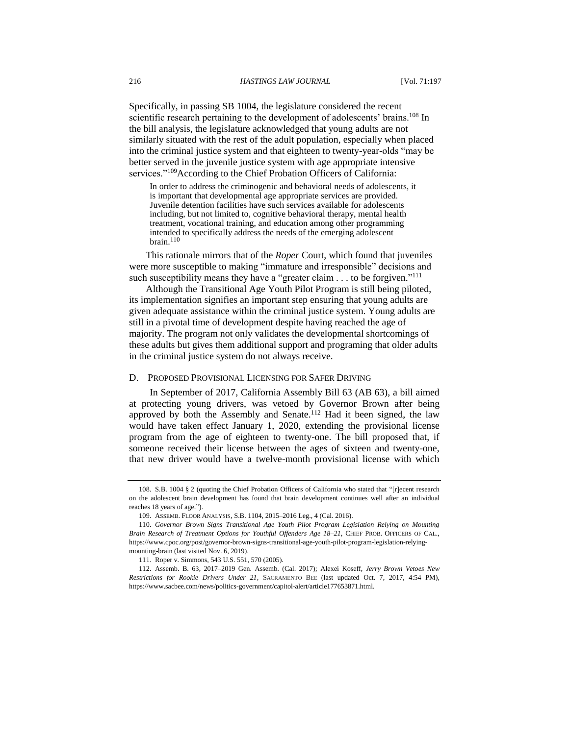Specifically, in passing SB 1004, the legislature considered the recent scientific research pertaining to the development of adolescents' brains.<sup>108</sup> In the bill analysis, the legislature acknowledged that young adults are not similarly situated with the rest of the adult population, especially when placed into the criminal justice system and that eighteen to twenty-year-olds "may be better served in the juvenile justice system with age appropriate intensive services."<sup>109</sup>According to the Chief Probation Officers of California:

In order to address the criminogenic and behavioral needs of adolescents, it is important that developmental age appropriate services are provided. Juvenile detention facilities have such services available for adolescents including, but not limited to, cognitive behavioral therapy, mental health treatment, vocational training, and education among other programming intended to specifically address the needs of the emerging adolescent brain.<sup>11</sup>

This rationale mirrors that of the *Roper* Court, which found that juveniles were more susceptible to making "immature and irresponsible" decisions and such susceptibility means they have a "greater claim . . . to be forgiven."<sup>111</sup>

Although the Transitional Age Youth Pilot Program is still being piloted, its implementation signifies an important step ensuring that young adults are given adequate assistance within the criminal justice system. Young adults are still in a pivotal time of development despite having reached the age of majority. The program not only validates the developmental shortcomings of these adults but gives them additional support and programing that older adults in the criminal justice system do not always receive.

#### D. PROPOSED PROVISIONAL LICENSING FOR SAFER DRIVING

<span id="page-20-0"></span>In September of 2017, California Assembly Bill 63 (AB 63), a bill aimed at protecting young drivers, was vetoed by Governor Brown after being approved by both the Assembly and Senate.<sup>112</sup> Had it been signed, the law would have taken effect January 1, 2020, extending the provisional license program from the age of eighteen to twenty-one. The bill proposed that, if someone received their license between the ages of sixteen and twenty-one, that new driver would have a twelve-month provisional license with which

<sup>108.</sup> S.B. 1004 § 2 (quoting the Chief Probation Officers of California who stated that "[r]ecent research on the adolescent brain development has found that brain development continues well after an individual reaches 18 years of age.").

<sup>109.</sup> ASSEMB. FLOOR ANALYSIS, S.B. 1104, 2015–2016 Leg., 4 (Cal. 2016).

<sup>110.</sup> *Governor Brown Signs Transitional Age Youth Pilot Program Legislation Relying on Mounting Brain Research of Treatment Options for Youthful Offenders Age 18–21*, CHIEF PROB. OFFICERS OF CAL., https://www.cpoc.org/post/governor-brown-signs-transitional-age-youth-pilot-program-legislation-relyingmounting-brain (last visited Nov. 6, 2019).

<sup>111</sup>*.* Roper v. Simmons, 543 U.S. 551, 570 (2005).

<sup>112.</sup> Assemb. B. 63, 2017–2019 Gen. Assemb. (Cal. 2017); Alexei Koseff, *Jerry Brown Vetoes New Restrictions for Rookie Drivers Under 21*, SACRAMENTO BEE (last updated Oct. 7, 2017, 4:54 PM), https://www.sacbee.com/news/politics-government/capitol-alert/article177653871.html.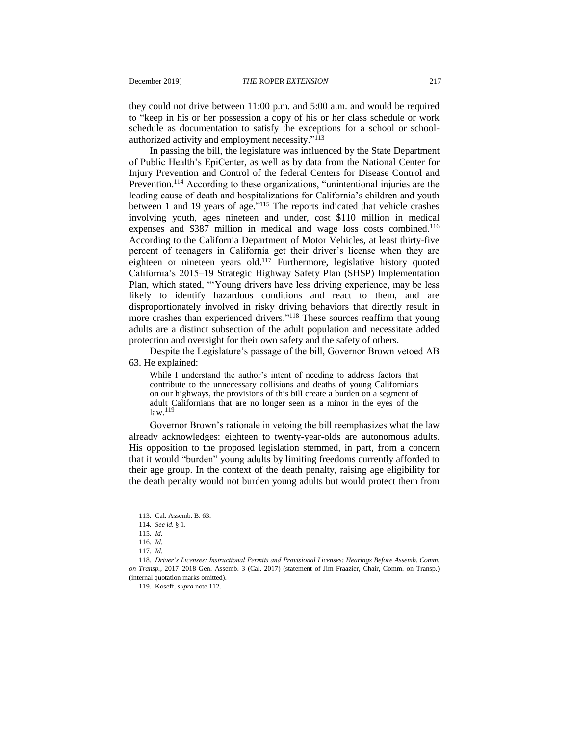they could not drive between 11:00 p.m. and 5:00 a.m. and would be required to "keep in his or her possession a copy of his or her class schedule or work schedule as documentation to satisfy the exceptions for a school or schoolauthorized activity and employment necessity."<sup>113</sup>

In passing the bill, the legislature was influenced by the State Department of Public Health's EpiCenter, as well as by data from the National Center for Injury Prevention and Control of the federal Centers for Disease Control and Prevention.<sup>114</sup> According to these organizations, "unintentional injuries are the leading cause of death and hospitalizations for California's children and youth between 1 and 19 years of age."<sup>115</sup> The reports indicated that vehicle crashes involving youth, ages nineteen and under, cost \$110 million in medical expenses and \$387 million in medical and wage loss costs combined.<sup>116</sup> According to the California Department of Motor Vehicles, at least thirty-five percent of teenagers in California get their driver's license when they are eighteen or nineteen years old.<sup>117</sup> Furthermore, legislative history quoted California's 2015–19 Strategic Highway Safety Plan (SHSP) Implementation Plan, which stated, "'Young drivers have less driving experience, may be less likely to identify hazardous conditions and react to them, and are disproportionately involved in risky driving behaviors that directly result in more crashes than experienced drivers."<sup>118</sup> These sources reaffirm that young adults are a distinct subsection of the adult population and necessitate added protection and oversight for their own safety and the safety of others.

Despite the Legislature's passage of the bill, Governor Brown vetoed AB 63. He explained:

While I understand the author's intent of needing to address factors that contribute to the unnecessary collisions and deaths of young Californians on our highways, the provisions of this bill create a burden on a segment of adult Californians that are no longer seen as a minor in the eyes of the law.<sup>119</sup>

Governor Brown's rationale in vetoing the bill reemphasizes what the law already acknowledges: eighteen to twenty-year-olds are autonomous adults. His opposition to the proposed legislation stemmed, in part, from a concern that it would "burden" young adults by limiting freedoms currently afforded to their age group. In the context of the death penalty, raising age eligibility for the death penalty would not burden young adults but would protect them from

119. Koseff, *supra* note [112.](#page-20-0)

<sup>113.</sup> Cal. Assemb. B. 63.

<sup>114</sup>*. See id.* § 1.

<sup>115</sup>*. Id.*

<sup>116</sup>*. Id.*

<sup>117</sup>*. Id.*

<sup>118.</sup> *Driver's Licenses: Instructional Permits and Provisional Licenses: Hearings Before Assemb. Comm. on Transp.*, 2017–2018 Gen. Assemb. 3 (Cal. 2017) (statement of Jim Fraazier, Chair, Comm. on Transp.) (internal quotation marks omitted).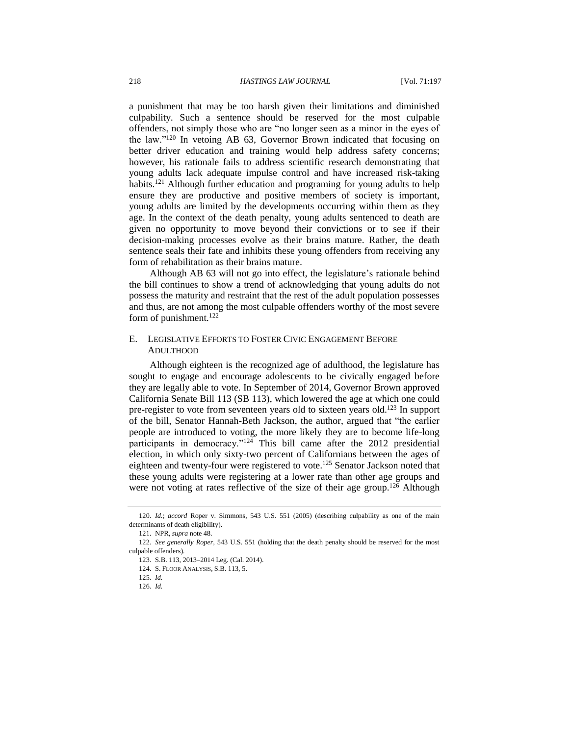a punishment that may be too harsh given their limitations and diminished culpability. Such a sentence should be reserved for the most culpable offenders, not simply those who are "no longer seen as a minor in the eyes of the law."<sup>120</sup> In vetoing AB 63, Governor Brown indicated that focusing on better driver education and training would help address safety concerns; however, his rationale fails to address scientific research demonstrating that young adults lack adequate impulse control and have increased risk-taking habits.<sup>121</sup> Although further education and programing for young adults to help ensure they are productive and positive members of society is important, young adults are limited by the developments occurring within them as they age. In the context of the death penalty, young adults sentenced to death are given no opportunity to move beyond their convictions or to see if their decision-making processes evolve as their brains mature. Rather, the death sentence seals their fate and inhibits these young offenders from receiving any form of rehabilitation as their brains mature.

Although AB 63 will not go into effect, the legislature's rationale behind the bill continues to show a trend of acknowledging that young adults do not possess the maturity and restraint that the rest of the adult population possesses and thus, are not among the most culpable offenders worthy of the most severe form of punishment. $122$ 

#### E. LEGISLATIVE EFFORTS TO FOSTER CIVIC ENGAGEMENT BEFORE ADULTHOOD

Although eighteen is the recognized age of adulthood, the legislature has sought to engage and encourage adolescents to be civically engaged before they are legally able to vote. In September of 2014, Governor Brown approved California Senate Bill 113 (SB 113), which lowered the age at which one could pre-register to vote from seventeen years old to sixteen years old.<sup>123</sup> In support of the bill, Senator Hannah-Beth Jackson, the author, argued that "the earlier people are introduced to voting, the more likely they are to become life-long participants in democracy." $124$  This bill came after the 2012 presidential election, in which only sixty-two percent of Californians between the ages of eighteen and twenty-four were registered to vote.<sup>125</sup> Senator Jackson noted that these young adults were registering at a lower rate than other age groups and were not voting at rates reflective of the size of their age group.<sup>126</sup> Although

<sup>120.</sup> *Id.*; *accord* Roper v. Simmons, 543 U.S. 551 (2005) (describing culpability as one of the main determinants of death eligibility).

<sup>121.</sup> NPR, *supra* not[e 48.](#page-11-1)

<sup>122</sup>*. See generally Roper*, 543 U.S. 551 (holding that the death penalty should be reserved for the most culpable offenders)*.*

<sup>123.</sup> S.B. 113, 2013–2014 Leg. (Cal. 2014).

<sup>124.</sup> S. FLOOR ANALYSIS, S.B. 113, 5.

<sup>125</sup>*. Id.*

<sup>126</sup>*. Id.*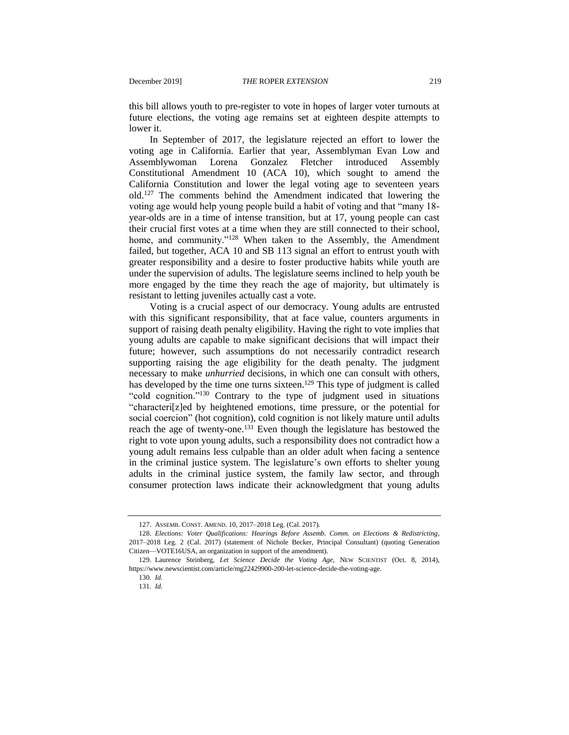this bill allows youth to pre-register to vote in hopes of larger voter turnouts at future elections, the voting age remains set at eighteen despite attempts to lower it.

In September of 2017, the legislature rejected an effort to lower the voting age in California. Earlier that year, Assemblyman Evan Low and Assemblywoman Lorena Gonzalez Fletcher introduced Assembly Constitutional Amendment 10 (ACA 10), which sought to amend the California Constitution and lower the legal voting age to seventeen years old.<sup>127</sup> The comments behind the Amendment indicated that lowering the voting age would help young people build a habit of voting and that "many 18 year-olds are in a time of intense transition, but at 17, young people can cast their crucial first votes at a time when they are still connected to their school, home, and community."<sup>128</sup> When taken to the Assembly, the Amendment failed, but together, ACA 10 and SB 113 signal an effort to entrust youth with greater responsibility and a desire to foster productive habits while youth are under the supervision of adults. The legislature seems inclined to help youth be more engaged by the time they reach the age of majority, but ultimately is resistant to letting juveniles actually cast a vote.

Voting is a crucial aspect of our democracy. Young adults are entrusted with this significant responsibility, that at face value, counters arguments in support of raising death penalty eligibility. Having the right to vote implies that young adults are capable to make significant decisions that will impact their future; however, such assumptions do not necessarily contradict research supporting raising the age eligibility for the death penalty. The judgment necessary to make *unhurried* decisions, in which one can consult with others, has developed by the time one turns sixteen.<sup>129</sup> This type of judgment is called "cold cognition."<sup>130</sup> Contrary to the type of judgment used in situations "characteri[z]ed by heightened emotions, time pressure, or the potential for social coercion" (hot cognition), cold cognition is not likely mature until adults reach the age of twenty-one.<sup>131</sup> Even though the legislature has bestowed the right to vote upon young adults, such a responsibility does not contradict how a young adult remains less culpable than an older adult when facing a sentence in the criminal justice system. The legislature's own efforts to shelter young adults in the criminal justice system, the family law sector, and through consumer protection laws indicate their acknowledgment that young adults

<sup>127.</sup> ASSEMB. CONST. AMEND. 10, 2017–2018 Leg. (Cal. 2017).

<sup>128.</sup> *Elections: Voter Qualifications: Hearings Before Assemb. Comm. on Elections & Redistricting*, 2017–2018 Leg. 2 (Cal. 2017) (statement of Nichole Becker, Principal Consultant) (quoting Generation Citizen—VOTE16USA, an organization in support of the amendment).

<sup>129.</sup> Laurence Steinberg, *Let Science Decide the Voting Age*, NEW SCIENTIST (Oct. 8, 2014), https://www.newscientist.com/article/mg22429900-200-let-science-decide-the-voting-age.

<sup>130</sup>*. Id.*

<sup>131</sup>*. Id.*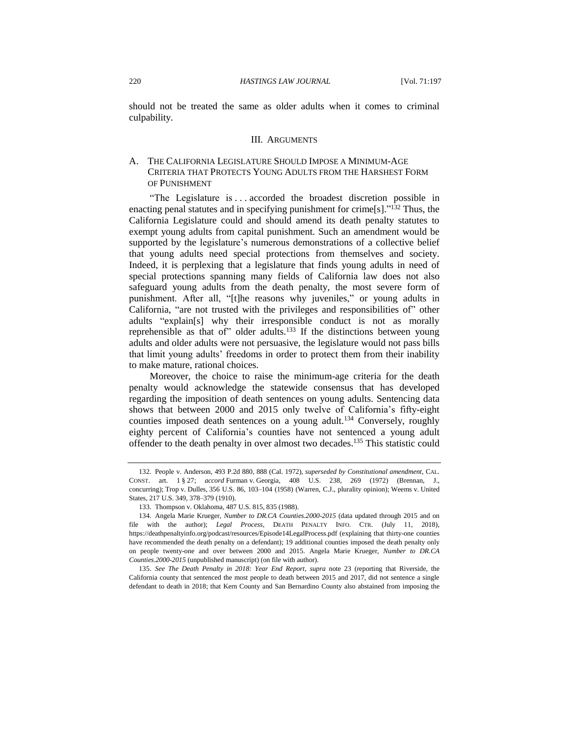should not be treated the same as older adults when it comes to criminal culpability.

#### III. ARGUMENTS

## A. THE CALIFORNIA LEGISLATURE SHOULD IMPOSE A MINIMUM-AGE CRITERIA THAT PROTECTS YOUNG ADULTS FROM THE HARSHEST FORM OF PUNISHMENT

"The Legislature is . . . accorded the broadest discretion possible in enacting penal statutes and in specifying punishment for crime[s]."<sup>132</sup> Thus, the California Legislature could and should amend its death penalty statutes to exempt young adults from capital punishment. Such an amendment would be supported by the legislature's numerous demonstrations of a collective belief that young adults need special protections from themselves and society. Indeed, it is perplexing that a legislature that finds young adults in need of special protections spanning many fields of California law does not also safeguard young adults from the death penalty, the most severe form of punishment. After all, "[t]he reasons why juveniles," or young adults in California, "are not trusted with the privileges and responsibilities of" other adults "explain[s] why their irresponsible conduct is not as morally reprehensible as that of" older adults.<sup>133</sup> If the distinctions between young adults and older adults were not persuasive, the legislature would not pass bills that limit young adults' freedoms in order to protect them from their inability to make mature, rational choices.

Moreover, the choice to raise the minimum-age criteria for the death penalty would acknowledge the statewide consensus that has developed regarding the imposition of death sentences on young adults. Sentencing data shows that between 2000 and 2015 only twelve of California's fifty-eight counties imposed death sentences on a young adult.<sup>134</sup> Conversely, roughly eighty percent of California's counties have not sentenced a young adult offender to the death penalty in over almost two decades. <sup>135</sup> This statistic could

<sup>132.</sup> People v. Anderson, 493 P.2d 880, 888 (Cal. 1972), *superseded by Constitutional amendment*, CAL. CONST. art. 1 § 27; *accord* Furman v. Georgia, 408 U.S. 238, 269 (1972) (Brennan, J., concurring); Trop v. Dulles, 356 U.S. 86, 103–104 (1958) (Warren, C.J., plurality opinion); Weems v. United States, 217 U.S. 349, 378–379 (1910).

<sup>133.</sup> Thompson v. Oklahoma, 487 U.S. 815, 835 (1988).

<sup>134.</sup> Angela Marie Krueger, *Number to DR.CA Counties.2000-2015* (data updated through 2015 and on file with the author); *Legal Process*, DEATH PENALTY INFO. CTR. (July 11, 2018), https://deathpenaltyinfo.org/podcast/resources/Episode14LegalProcess.pdf (explaining that thirty-one counties have recommended the death penalty on a defendant); 19 additional counties imposed the death penalty only on people twenty-one and over between 2000 and 2015. Angela Marie Krueger, *Number to DR.CA Counties.2000-2015* (unpublished manuscript) (on file with author).

<sup>135.</sup> *See The Death Penalty in 2018: Year End Report*, *supra* note [23](#page-7-0) (reporting that Riverside, the California county that sentenced the most people to death between 2015 and 2017, did not sentence a single defendant to death in 2018; that Kern County and San Bernardino County also abstained from imposing the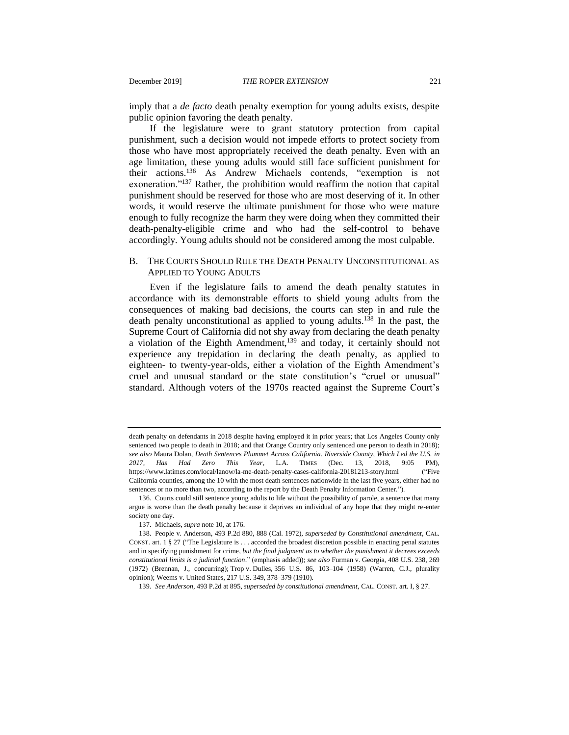imply that a *de facto* death penalty exemption for young adults exists, despite public opinion favoring the death penalty.

If the legislature were to grant statutory protection from capital punishment, such a decision would not impede efforts to protect society from those who have most appropriately received the death penalty. Even with an age limitation, these young adults would still face sufficient punishment for their actions.<sup>136</sup> As Andrew Michaels contends, "exemption is not exoneration."<sup>137</sup> Rather, the prohibition would reaffirm the notion that capital punishment should be reserved for those who are most deserving of it. In other words, it would reserve the ultimate punishment for those who were mature enough to fully recognize the harm they were doing when they committed their death-penalty-eligible crime and who had the self-control to behave accordingly. Young adults should not be considered among the most culpable.

#### B. THE COURTS SHOULD RULE THE DEATH PENALTY UNCONSTITUTIONAL AS APPLIED TO YOUNG ADULTS

Even if the legislature fails to amend the death penalty statutes in accordance with its demonstrable efforts to shield young adults from the consequences of making bad decisions, the courts can step in and rule the death penalty unconstitutional as applied to young adults.<sup>138</sup> In the past, the Supreme Court of California did not shy away from declaring the death penalty a violation of the Eighth Amendment,<sup>139</sup> and today, it certainly should not experience any trepidation in declaring the death penalty, as applied to eighteen- to twenty-year-olds, either a violation of the Eighth Amendment's cruel and unusual standard or the state constitution's "cruel or unusual" standard. Although voters of the 1970s reacted against the Supreme Court's

death penalty on defendants in 2018 despite having employed it in prior years; that Los Angeles County only sentenced two people to death in 2018; and that Orange Country only sentenced one person to death in 2018); *see also* Maura Dolan, *Death Sentences Plummet Across California. Riverside County, Which Led the U.S. in 2017, Has Had Zero This Year*, L.A. TIMES (Dec. 13, 2018, 9:05 PM), https://www.latimes.com/local/lanow/la-me-death-penalty-cases-california-20181213-story.html ("Five California counties, among the 10 with the most death sentences nationwide in the last five years, either had no sentences or no more than two, according to the report by the Death Penalty Information Center.").

<sup>136.</sup> Courts could still sentence young adults to life without the possibility of parole, a sentence that many argue is worse than the death penalty because it deprives an individual of any hope that they might re-enter society one day.

<sup>137.</sup> Michaels, *supra* not[e 10,](#page-4-0) at 176.

<sup>138.</sup> People v. Anderson, 493 P.2d 880, 888 (Cal. 1972), *superseded by Constitutional amendment*, CAL. CONST. art. 1  $\S 27$  ("The Legislature is . . . accorded the broadest discretion possible in enacting penal statutes and in specifying punishment for crime, *but the final judgment as to whether the punishment it decrees exceeds constitutional limits is a judicial function*." (emphasis added)); *see also* Furman v. Georgia, 408 U.S. 238, 269 (1972) (Brennan, J., concurring); Trop v. Dulles, 356 U.S. 86, 103–104 (1958) (Warren, C.J., plurality opinion); Weems v. United States, 217 U.S. 349, 378–379 (1910).

<sup>139</sup>*. See Anderson*, 493 P.2d at 895, *superseded by constitutional amendment*, CAL. CONST. art. I, § 27.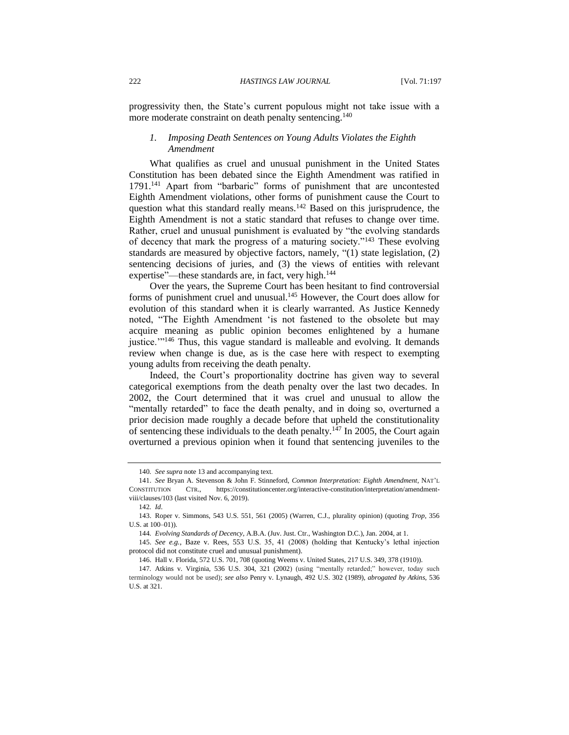progressivity then, the State's current populous might not take issue with a more moderate constraint on death penalty sentencing.<sup>140</sup>

#### *1. Imposing Death Sentences on Young Adults Violates the Eighth Amendment*

What qualifies as cruel and unusual punishment in the United States Constitution has been debated since the Eighth Amendment was ratified in 1791.<sup>141</sup> Apart from "barbaric" forms of punishment that are uncontested Eighth Amendment violations, other forms of punishment cause the Court to question what this standard really means.<sup>142</sup> Based on this jurisprudence, the Eighth Amendment is not a static standard that refuses to change over time. Rather, cruel and unusual punishment is evaluated by "the evolving standards of decency that mark the progress of a maturing society."<sup>143</sup> These evolving standards are measured by objective factors, namely, "(1) state legislation, (2) sentencing decisions of juries, and (3) the views of entities with relevant expertise"—these standards are, in fact, very high.<sup>144</sup>

Over the years, the Supreme Court has been hesitant to find controversial forms of punishment cruel and unusual.<sup>145</sup> However, the Court does allow for evolution of this standard when it is clearly warranted. As Justice Kennedy noted, "The Eighth Amendment 'is not fastened to the obsolete but may acquire meaning as public opinion becomes enlightened by a humane justice.'"<sup>146</sup> Thus, this vague standard is malleable and evolving. It demands review when change is due, as is the case here with respect to exempting young adults from receiving the death penalty.

Indeed, the Court's proportionality doctrine has given way to several categorical exemptions from the death penalty over the last two decades. In 2002, the Court determined that it was cruel and unusual to allow the "mentally retarded" to face the death penalty, and in doing so, overturned a prior decision made roughly a decade before that upheld the constitutionality of sentencing these individuals to the death penalty.<sup>147</sup> In 2005, the Court again overturned a previous opinion when it found that sentencing juveniles to the

<sup>140</sup>*. See supra* not[e 13](#page-6-0) and accompanying text.

<sup>141.</sup> *See* Bryan A. Stevenson & John F. Stinneford, *Common Interpretation: Eighth Amendment*, NAT'L CONSTITUTION CTR., https://constitutioncenter.org/interactive-constitution/interpretation/amendmentviii/clauses/103 (last visited Nov. 6, 2019).

<sup>142</sup>*. Id*.

<sup>143.</sup> Roper v. Simmons, 543 U.S. 551, 561 (2005) (Warren, C.J., plurality opinion) (quoting *Trop*, 356 U.S. at 100–01)).

<sup>144</sup>*. Evolving Standards of Decency*, A.B.A. (Juv. Just. Ctr., Washington D.C.), Jan. 2004, at 1.

<sup>145.</sup> *See e.g.*, Baze v. Rees, 553 U.S. 35, 41 (2008) (holding that Kentucky's lethal injection protocol did not constitute cruel and unusual punishment).

<sup>146.</sup> Hall v. Florida, 572 U.S. 701, 708 (quoting Weems v. United States, 217 U.S. 349, 378 (1910)).

<sup>147</sup>*.* Atkins v. Virginia, 536 U.S. 304, 321 (2002) (using "mentally retarded;" however, today such terminology would not be used); *see also* Penry v. Lynaugh, 492 U.S. 302 (1989), *abrogated by Atkins*, 536 U.S. at 321.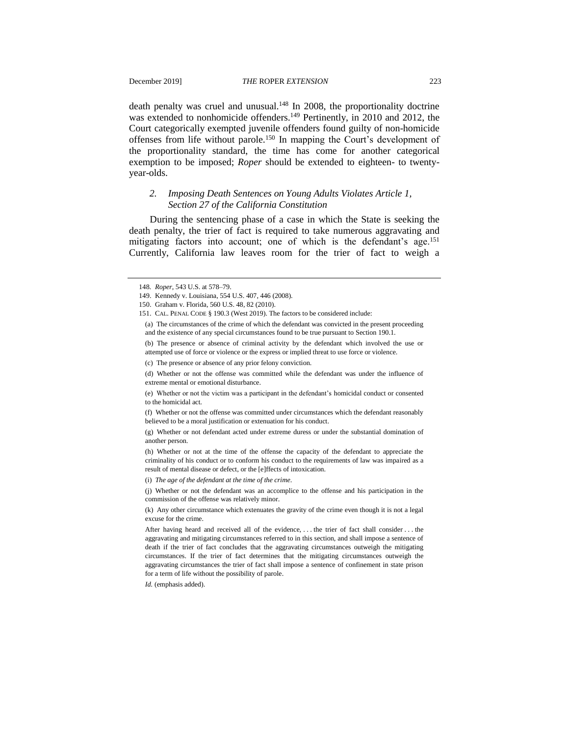death penalty was cruel and unusual. $148$  In 2008, the proportionality doctrine was extended to nonhomicide offenders.<sup>149</sup> Pertinently, in 2010 and 2012, the Court categorically exempted juvenile offenders found guilty of non-homicide offenses from life without parole.<sup>150</sup> In mapping the Court's development of the proportionality standard, the time has come for another categorical exemption to be imposed; *Roper* should be extended to eighteen- to twentyyear-olds.

### *2. Imposing Death Sentences on Young Adults Violates Article 1, Section 27 of the California Constitution*

During the sentencing phase of a case in which the State is seeking the death penalty, the trier of fact is required to take numerous aggravating and mitigating factors into account; one of which is the defendant's age.<sup>151</sup> Currently, California law leaves room for the trier of fact to weigh a

*Id.* (emphasis added).

<sup>148</sup>*. Roper*, 543 U.S. at 578–79.

<sup>149.</sup> Kennedy v. Louisiana, 554 U.S. 407, 446 (2008).

<sup>150.</sup> Graham v. Florida, 560 U.S. 48, 82 (2010).

<sup>151.</sup> CAL. PENAL CODE § 190.3 (West 2019). The factors to be considered include:

<sup>(</sup>a) The circumstances of the crime of which the defendant was convicted in the present proceeding and the existence of any special circumstances found to be true pursuant to Section 190.1.

<sup>(</sup>b) The presence or absence of criminal activity by the defendant which involved the use or attempted use of force or violence or the express or implied threat to use force or violence.

<sup>(</sup>c) The presence or absence of any prior felony conviction.

<sup>(</sup>d) Whether or not the offense was committed while the defendant was under the influence of extreme mental or emotional disturbance.

<sup>(</sup>e) Whether or not the victim was a participant in the defendant's homicidal conduct or consented to the homicidal act.

<sup>(</sup>f) Whether or not the offense was committed under circumstances which the defendant reasonably believed to be a moral justification or extenuation for his conduct.

<sup>(</sup>g) Whether or not defendant acted under extreme duress or under the substantial domination of another person.

<sup>(</sup>h) Whether or not at the time of the offense the capacity of the defendant to appreciate the criminality of his conduct or to conform his conduct to the requirements of law was impaired as a result of mental disease or defect, or the [e]ffects of intoxication.

<sup>(</sup>i) *The age of the defendant at the time of the crime*.

<sup>(</sup>j) Whether or not the defendant was an accomplice to the offense and his participation in the commission of the offense was relatively minor.

<sup>(</sup>k) Any other circumstance which extenuates the gravity of the crime even though it is not a legal excuse for the crime.

After having heard and received all of the evidence, . . . the trier of fact shall consider . . . the aggravating and mitigating circumstances referred to in this section, and shall impose a sentence of death if the trier of fact concludes that the aggravating circumstances outweigh the mitigating circumstances. If the trier of fact determines that the mitigating circumstances outweigh the aggravating circumstances the trier of fact shall impose a sentence of confinement in state prison for a term of life without the possibility of parole.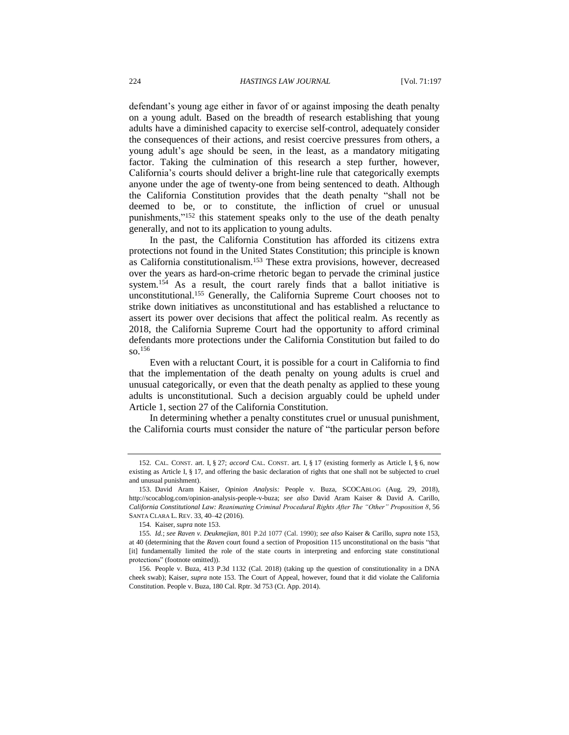defendant's young age either in favor of or against imposing the death penalty on a young adult. Based on the breadth of research establishing that young adults have a diminished capacity to exercise self-control, adequately consider the consequences of their actions, and resist coercive pressures from others, a young adult's age should be seen, in the least, as a mandatory mitigating factor. Taking the culmination of this research a step further, however, California's courts should deliver a bright-line rule that categorically exempts anyone under the age of twenty-one from being sentenced to death. Although the California Constitution provides that the death penalty "shall not be deemed to be, or to constitute, the infliction of cruel or unusual punishments,"<sup>152</sup> this statement speaks only to the use of the death penalty generally, and not to its application to young adults.

<span id="page-28-0"></span>In the past, the California Constitution has afforded its citizens extra protections not found in the United States Constitution; this principle is known as California constitutionalism.<sup>153</sup> These extra provisions, however, decreased over the years as hard-on-crime rhetoric began to pervade the criminal justice system.<sup>154</sup> As a result, the court rarely finds that a ballot initiative is unconstitutional.<sup>155</sup> Generally, the California Supreme Court chooses not to strike down initiatives as unconstitutional and has established a reluctance to assert its power over decisions that affect the political realm. As recently as 2018, the California Supreme Court had the opportunity to afford criminal defendants more protections under the California Constitution but failed to do so.  $156$ 

Even with a reluctant Court, it is possible for a court in California to find that the implementation of the death penalty on young adults is cruel and unusual categorically, or even that the death penalty as applied to these young adults is unconstitutional. Such a decision arguably could be upheld under Article 1, section 27 of the California Constitution.

In determining whether a penalty constitutes cruel or unusual punishment, the California courts must consider the nature of "the particular person before

<sup>152</sup>*.* CAL. CONST. art. I, § 27; *accord* CAL. CONST. art. I, § 17 (existing formerly as Article I, § 6, now existing as Article I, § 17, and offering the basic declaration of rights that one shall not be subjected to cruel and unusual punishment).

<sup>153.</sup> David Aram Kaiser, *Opinion Analysis:* People v. Buza, SCOCABLOG (Aug. 29, 2018), http://scocablog.com/opinion-analysis-people-v-buza; *see also* David Aram Kaiser & David A. Carillo, *California Constitutional Law: Reanimating Criminal Procedural Rights After The "Other" Proposition 8*, 56 SANTA CLARA L. REV. 33, 40–42 (2016).

<sup>154</sup>*.* Kaiser, *supra* not[e 153.](#page-28-0)

<sup>155</sup>*. Id.*; *see Raven v. Deukmejian*, 801 P.2d 1077 (Cal. 1990); *see also* Kaiser & Carillo, *supra* note 153, at 40 (determining that the *Raven* court found a section of Proposition 115 unconstitutional on the basis "that [it] fundamentally limited the role of the state courts in interpreting and enforcing state constitutional protections" (footnote omitted)).

<sup>156</sup>*.* People v. Buza, 413 P.3d 1132 (Cal. 2018) (taking up the question of constitutionality in a DNA cheek swab); Kaiser, *supra* note [153.](#page-28-0) The Court of Appeal, however, found that it did violate the California Constitution. People v. Buza, 180 Cal. Rptr. 3d 753 (Ct. App. 2014).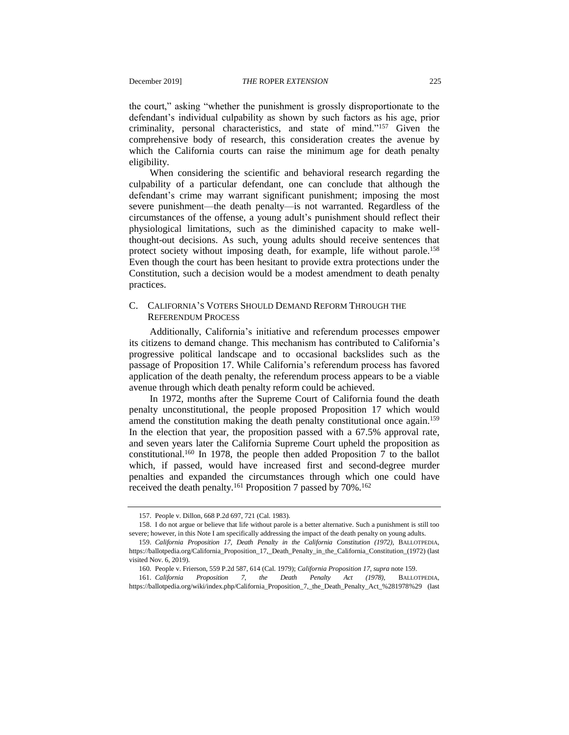the court," asking "whether the punishment is grossly disproportionate to the defendant's individual culpability as shown by such factors as his age, prior criminality, personal characteristics, and state of mind."<sup>157</sup> Given the comprehensive body of research, this consideration creates the avenue by which the California courts can raise the minimum age for death penalty eligibility.

When considering the scientific and behavioral research regarding the culpability of a particular defendant, one can conclude that although the defendant's crime may warrant significant punishment; imposing the most severe punishment—the death penalty—is not warranted. Regardless of the circumstances of the offense, a young adult's punishment should reflect their physiological limitations, such as the diminished capacity to make wellthought-out decisions. As such, young adults should receive sentences that protect society without imposing death, for example, life without parole.<sup>158</sup> Even though the court has been hesitant to provide extra protections under the Constitution, such a decision would be a modest amendment to death penalty practices.

#### C. CALIFORNIA'S VOTERS SHOULD DEMAND REFORM THROUGH THE REFERENDUM PROCESS

Additionally, California's initiative and referendum processes empower its citizens to demand change. This mechanism has contributed to California's progressive political landscape and to occasional backslides such as the passage of Proposition 17. While California's referendum process has favored application of the death penalty, the referendum process appears to be a viable avenue through which death penalty reform could be achieved.

<span id="page-29-0"></span>In 1972, months after the Supreme Court of California found the death penalty unconstitutional, the people proposed Proposition 17 which would amend the constitution making the death penalty constitutional once again.<sup>159</sup> In the election that year, the proposition passed with a 67.5% approval rate, and seven years later the California Supreme Court upheld the proposition as constitutional.<sup>160</sup> In 1978, the people then added Proposition  $\overline{7}$  to the ballot which, if passed, would have increased first and second-degree murder penalties and expanded the circumstances through which one could have received the death penalty.<sup>161</sup> Proposition 7 passed by  $70\%$ .<sup>162</sup>

<span id="page-29-1"></span><sup>157.</sup> People v. Dillon, 668 P.2d 697, 721 (Cal. 1983).

<sup>158.</sup> I do not argue or believe that life without parole is a better alternative. Such a punishment is still too severe; however, in this Note I am specifically addressing the impact of the death penalty on young adults.

<sup>159.</sup> *California Proposition 17, Death Penalty in the California Constitution (1972)*, BALLOTPEDIA, https://ballotpedia.org/California\_Proposition\_17,\_Death\_Penalty\_in\_the\_California\_Constitution\_(1972) (last visited Nov. 6, 2019).

<sup>160</sup>*.* People v. Frierson, 559 P.2d 587, 614 (Cal. 1979); *California Proposition 17*, *supra* not[e 159.](#page-29-0)

<sup>161.</sup> *California Proposition 7, the Death Penalty Act (1978)*, BALLOTPEDIA, https://ballotpedia.org/wiki/index.php/California\_Proposition\_7,\_the\_Death\_Penalty\_Act\_%281978%29 (last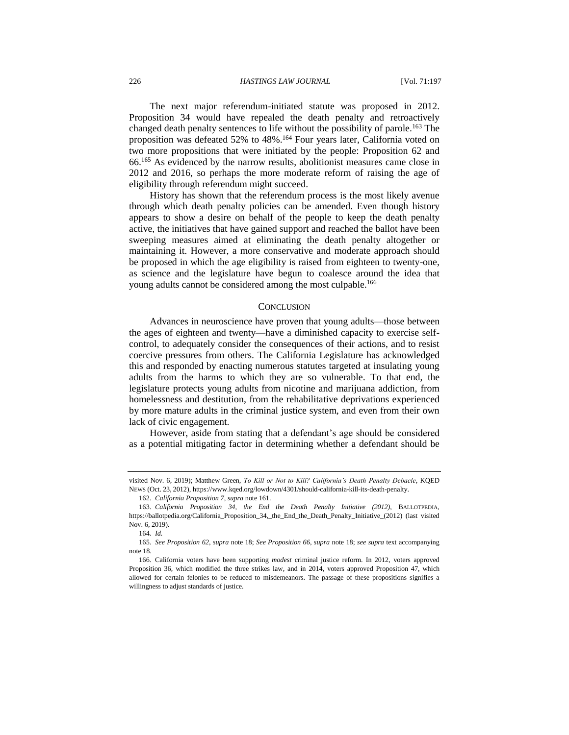The next major referendum-initiated statute was proposed in 2012. Proposition 34 would have repealed the death penalty and retroactively changed death penalty sentences to life without the possibility of parole.<sup>163</sup> The proposition was defeated 52% to 48%.<sup>164</sup> Four years later, California voted on two more propositions that were initiated by the people: Proposition 62 and 66.<sup>165</sup> As evidenced by the narrow results, abolitionist measures came close in 2012 and 2016, so perhaps the more moderate reform of raising the age of eligibility through referendum might succeed.

History has shown that the referendum process is the most likely avenue through which death penalty policies can be amended. Even though history appears to show a desire on behalf of the people to keep the death penalty active, the initiatives that have gained support and reached the ballot have been sweeping measures aimed at eliminating the death penalty altogether or maintaining it. However, a more conservative and moderate approach should be proposed in which the age eligibility is raised from eighteen to twenty-one, as science and the legislature have begun to coalesce around the idea that young adults cannot be considered among the most culpable.<sup>166</sup>

#### **CONCLUSION**

Advances in neuroscience have proven that young adults—those between the ages of eighteen and twenty—have a diminished capacity to exercise selfcontrol, to adequately consider the consequences of their actions, and to resist coercive pressures from others. The California Legislature has acknowledged this and responded by enacting numerous statutes targeted at insulating young adults from the harms to which they are so vulnerable. To that end, the legislature protects young adults from nicotine and marijuana addiction, from homelessness and destitution, from the rehabilitative deprivations experienced by more mature adults in the criminal justice system, and even from their own lack of civic engagement.

However, aside from stating that a defendant's age should be considered as a potential mitigating factor in determining whether a defendant should be

visited Nov. 6, 2019); Matthew Green, *To Kill or Not to Kill? California's Death Penalty Debacle*, KQED NEWS (Oct. 23, 2012), https://www.kqed.org/lowdown/4301/should-california-kill-its-death-penalty.

<sup>162</sup>*. California Proposition 7*, *supra* not[e 161.](#page-29-1)

<sup>163.</sup> *California Proposition 34, the End the Death Penalty Initiative (2012)*, BALLOTPEDIA, https://ballotpedia.org/California\_Proposition\_34,\_the\_End\_the\_Death\_Penalty\_Initiative\_(2012) (last visited Nov. 6, 2019).

<sup>164</sup>*. Id.*

<sup>165</sup>*. See Proposition 62*, *supra* note [18;](#page-6-1) *See Proposition 66*, *supra* note [18;](#page-6-1) *see supra* text accompanying note [18.](#page-6-1)

<sup>166</sup>*.* California voters have been supporting *modest* criminal justice reform. In 2012, voters approved Proposition 36, which modified the three strikes law, and in 2014, voters approved Proposition 47, which allowed for certain felonies to be reduced to misdemeanors. The passage of these propositions signifies a willingness to adjust standards of justice.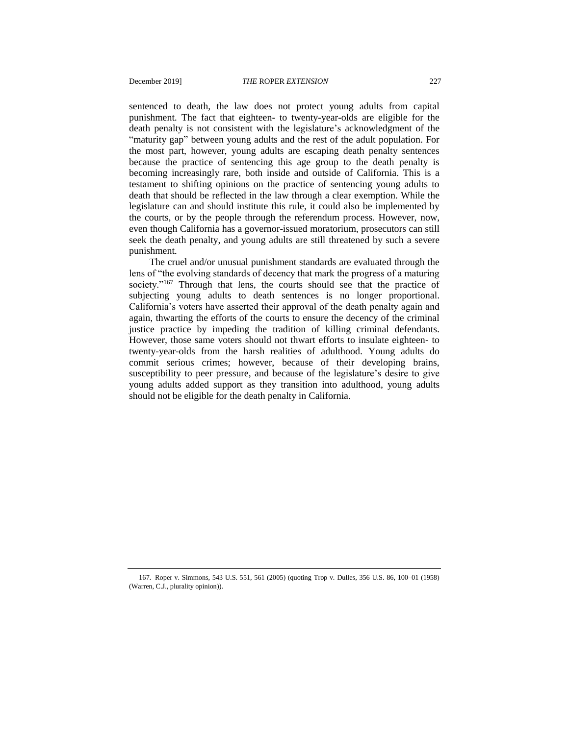sentenced to death, the law does not protect young adults from capital punishment. The fact that eighteen- to twenty-year-olds are eligible for the death penalty is not consistent with the legislature's acknowledgment of the "maturity gap" between young adults and the rest of the adult population. For the most part, however, young adults are escaping death penalty sentences because the practice of sentencing this age group to the death penalty is becoming increasingly rare, both inside and outside of California. This is a testament to shifting opinions on the practice of sentencing young adults to death that should be reflected in the law through a clear exemption. While the legislature can and should institute this rule, it could also be implemented by the courts, or by the people through the referendum process. However, now, even though California has a governor-issued moratorium, prosecutors can still seek the death penalty, and young adults are still threatened by such a severe punishment.

The cruel and/or unusual punishment standards are evaluated through the lens of "the evolving standards of decency that mark the progress of a maturing society."<sup>167</sup> Through that lens, the courts should see that the practice of subjecting young adults to death sentences is no longer proportional. California's voters have asserted their approval of the death penalty again and again, thwarting the efforts of the courts to ensure the decency of the criminal justice practice by impeding the tradition of killing criminal defendants. However, those same voters should not thwart efforts to insulate eighteen- to twenty-year-olds from the harsh realities of adulthood. Young adults do commit serious crimes; however, because of their developing brains, susceptibility to peer pressure, and because of the legislature's desire to give young adults added support as they transition into adulthood, young adults should not be eligible for the death penalty in California.

<sup>167</sup>*.* Roper v. Simmons, 543 U.S. 551, 561 (2005) (quoting Trop v. Dulles, 356 U.S. 86, 100–01 (1958) (Warren, C.J., plurality opinion)).